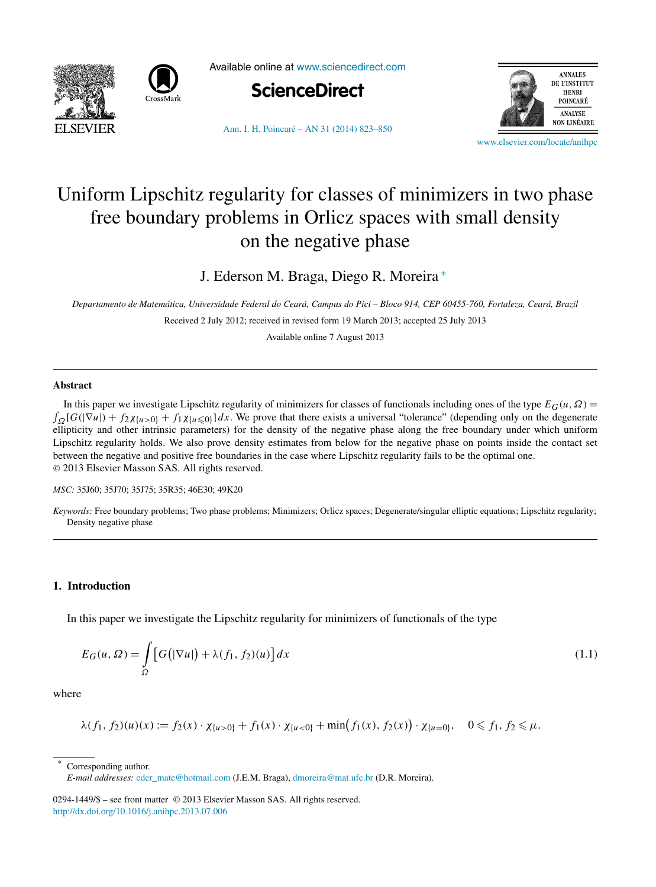



Available online at [www.sciencedirect.com](http://www.sciencedirect.com)





[Ann. I. H. Poincaré – AN 31 \(2014\) 823–850](http://dx.doi.org/10.1016/j.anihpc.2013.07.006)

[www.elsevier.com/locate/anihpc](http://www.elsevier.com/locate/anihpc)

# Uniform Lipschitz regularity for classes of minimizers in two phase free boundary problems in Orlicz spaces with small density on the negative phase

J. Ederson M. Braga, Diego R. Moreira <sup>∗</sup>

*Departamento de Matemática, Universidade Federal do Ceará, Campus do Pici – Bloco 914, CEP 60455-760, Fortaleza, Ceará, Brazil*

Received 2 July 2012; received in revised form 19 March 2013; accepted 25 July 2013

Available online 7 August 2013

## **Abstract**

In this paper we investigate Lipschitz regularity of minimizers for classes of functionals including ones of the type  $E_G(u, \Omega) =$ <br> $\int_{\Omega} [G(|\nabla u|) + f_2 \chi_{\{u>0\}} + f_1 \chi_{\{u\leq 0\}}] dx$ . We prove that there exists a universal ellipticity and other intrinsic parameters) for the density of the negative phase along the free boundary under which uniform Lipschitz regularity holds. We also prove density estimates from below for the negative phase on points inside the contact set between the negative and positive free boundaries in the case where Lipschitz regularity fails to be the optimal one. © 2013 Elsevier Masson SAS. All rights reserved.

*MSC:* 35J60; 35J70; 35J75; 35R35; 46E30; 49K20

*Keywords:* Free boundary problems; Two phase problems; Minimizers; Orlicz spaces; Degenerate/singular elliptic equations; Lipschitz regularity; Density negative phase

## **1. Introduction**

In this paper we investigate the Lipschitz regularity for minimizers of functionals of the type

$$
E_G(u,\Omega) = \int_{\Omega} \left[ G\big(|\nabla u|\big) + \lambda(f_1,f_2)(u) \right] dx \tag{1.1}
$$

where

$$
\lambda(f_1, f_2)(u)(x) := f_2(x) \cdot \chi_{\{u > 0\}} + f_1(x) \cdot \chi_{\{u < 0\}} + \min(f_1(x), f_2(x)) \cdot \chi_{\{u = 0\}}, \quad 0 \le f_1, f_2 \le \mu.
$$

Corresponding author.

*E-mail addresses:* [eder\\_mate@hotmail.com](mailto:eder_mate@hotmail.com) (J.E.M. Braga), [dmoreira@mat.ufc.br](mailto:dmoreira@mat.ufc.br) (D.R. Moreira).

<sup>0294-1449/\$ –</sup> see front matter © 2013 Elsevier Masson SAS. All rights reserved. <http://dx.doi.org/10.1016/j.anihpc.2013.07.006>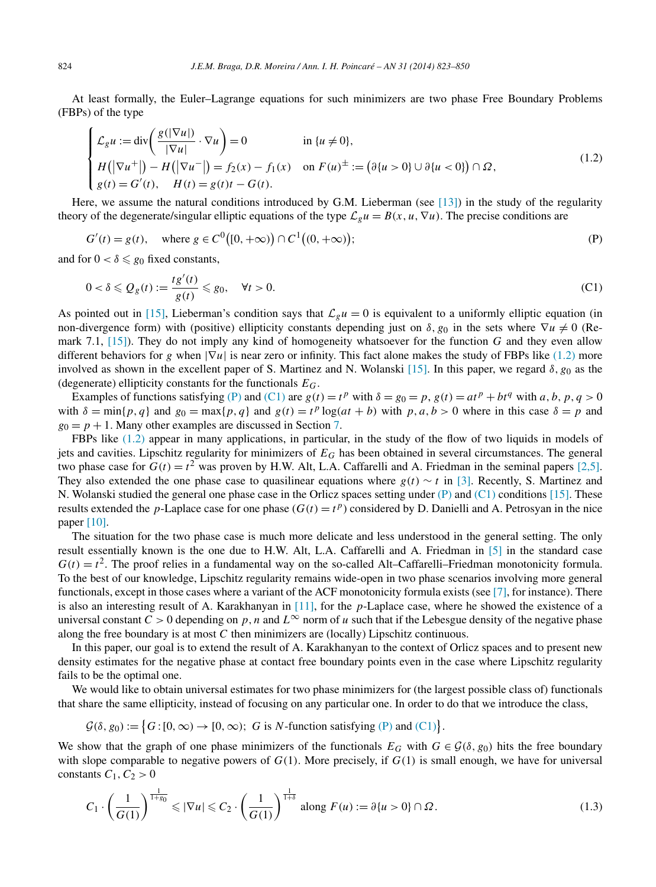<span id="page-1-0"></span>At least formally, the Euler–Lagrange equations for such minimizers are two phase Free Boundary Problems (FBPs) of the type

$$
\begin{cases}\n\mathcal{L}_g u := \text{div}\left(\frac{g(|\nabla u|)}{|\nabla u|} \cdot \nabla u\right) = 0 & \text{in } \{u \neq 0\}, \\
H(|\nabla u^+|) - H(|\nabla u^-|) = f_2(x) - f_1(x) & \text{on } F(u)^{\pm} := (\partial\{u > 0\} \cup \partial\{u < 0\}) \cap \Omega, \\
g(t) = G'(t), \quad H(t) = g(t)t - G(t).\n\end{cases}
$$
\n(1.2)

Here, we assume the natural conditions introduced by G.M. Lieberman (see [\[13\]\)](#page-27-0) in the study of the regularity theory of the degenerate/singular elliptic equations of the type  $\mathcal{L}_{g}u = B(x, u, \nabla u)$ . The precise conditions are

$$
G'(t) = g(t), \text{ where } g \in C^{0}([0, +\infty)) \cap C^{1}((0, +\infty));
$$
 (P)

and for  $0 < \delta \leq g_0$  fixed constants,

$$
0 < \delta \leqslant Q_g(t) := \frac{tg'(t)}{g(t)} \leqslant g_0, \quad \forall t > 0. \tag{C1}
$$

As pointed out in [\[15\],](#page-27-0) Lieberman's condition says that  $\mathcal{L}_g u = 0$  is equivalent to a uniformly elliptic equation (in non-divergence form) with (positive) ellipticity constants depending just on  $\delta$ ,  $g_0$  in the sets where  $\nabla u \neq 0$  (Remark 7.1, [\[15\]\)](#page-27-0). They do not imply any kind of homogeneity whatsoever for the function *G* and they even allow different behaviors for *g* when  $|\nabla u|$  is near zero or infinity. This fact alone makes the study of FBPs like (1.2) more involved as shown in the excellent paper of S. Martinez and N. Wolanski [\[15\].](#page-27-0) In this paper, we regard *δ,g*<sup>0</sup> as the (degenerate) ellipticity constants for the functionals *EG*.

Examples of functions satisfying (P) and (C1) are  $g(t) = t^p$  with  $\delta = g_0 = p$ ,  $g(t) = at^p + bt^q$  with *a*, *b*, *p*, *q* > 0 with  $\delta = \min\{p, q\}$  and  $g_0 = \max\{p, q\}$  and  $g(t) = t^p \log(at + b)$  with  $p, a, b > 0$  where in this case  $\delta = p$  and  $g_0 = p + 1$ . Many other examples are discussed in Section [7.](#page-15-0)

FBPs like (1.2) appear in many applications, in particular, in the study of the flow of two liquids in models of jets and cavities. Lipschitz regularity for minimizers of *EG* has been obtained in several circumstances. The general two phase case for  $G(t) = t^2$  was proven by H.W. Alt, L.A. Caffarelli and A. Friedman in the seminal papers [\[2,5\].](#page-27-0) They also extended the one phase case to quasilinear equations where  $g(t) \sim t$  in [\[3\].](#page-27-0) Recently, S. Martinez and N. Wolanski studied the general one phase case in the Orlicz spaces setting under  $(P)$  and  $(C1)$  conditions [\[15\].](#page-27-0) These results extended the *p*-Laplace case for one phase  $(G(t) = t^p)$  considered by D. Danielli and A. Petrosyan in the nice paper [\[10\].](#page-27-0)

The situation for the two phase case is much more delicate and less understood in the general setting. The only result essentially known is the one due to H.W. Alt, L.A. Caffarelli and A. Friedman in [\[5\]](#page-27-0) in the standard case  $G(t) = t^2$ . The proof relies in a fundamental way on the so-called Alt–Caffarelli–Friedman monotonicity formula. To the best of our knowledge, Lipschitz regularity remains wide-open in two phase scenarios involving more general functionals, except in those cases where a variant of the ACF monotonicity formula exists (see [\[7\],](#page-27-0) for instance). There is also an interesting result of A. Karakhanyan in [\[11\],](#page-27-0) for the *p*-Laplace case, where he showed the existence of a universal constant  $C > 0$  depending on p, n and  $L^\infty$  norm of u such that if the Lebesgue density of the negative phase along the free boundary is at most *C* then minimizers are (locally) Lipschitz continuous.

In this paper, our goal is to extend the result of A. Karakhanyan to the context of Orlicz spaces and to present new density estimates for the negative phase at contact free boundary points even in the case where Lipschitz regularity fails to be the optimal one.

We would like to obtain universal estimates for two phase minimizers for (the largest possible class of) functionals that share the same ellipticity, instead of focusing on any particular one. In order to do that we introduce the class,

 $G(\delta, g_0) := \Big\{ G : [0, \infty) \to [0, \infty); \ G \text{ is } N \text{-function satisfying (P) and (C1)} \Big\}.$ 

We show that the graph of one phase minimizers of the functionals  $E_G$  with  $G \in \mathcal{G}(\delta, g_0)$  hits the free boundary with slope comparable to negative powers of  $G(1)$ . More precisely, if  $G(1)$  is small enough, we have for universal constants  $C_1, C_2 > 0$ 

$$
C_1 \cdot \left(\frac{1}{G(1)}\right)^{\frac{1}{1+g_0}} \leq |\nabla u| \leq C_2 \cdot \left(\frac{1}{G(1)}\right)^{\frac{1}{1+\delta}} \text{ along } F(u) := \partial\{u > 0\} \cap \Omega. \tag{1.3}
$$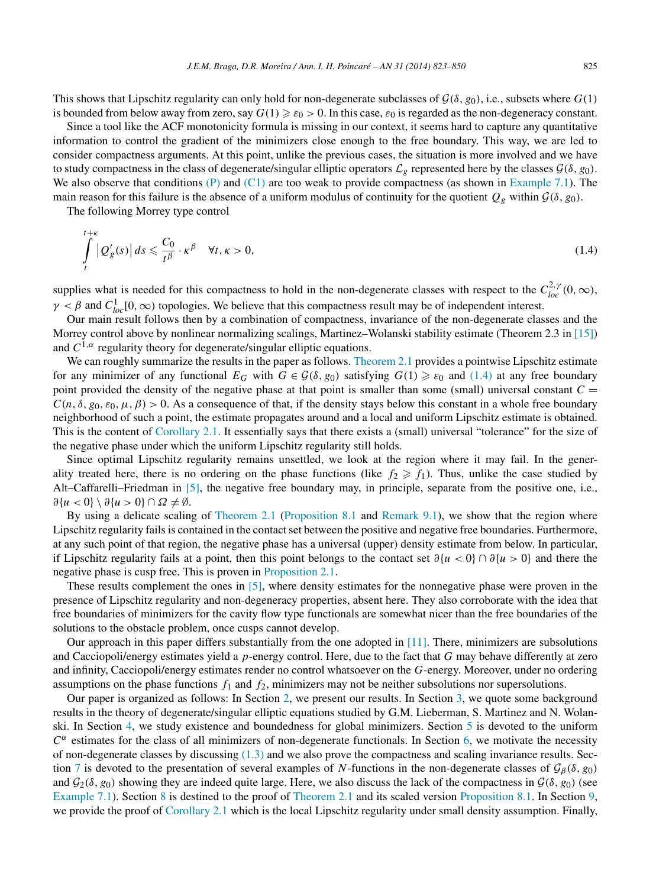This shows that Lipschitz regularity can only hold for non-degenerate subclasses of  $\mathcal{G}(\delta, g_0)$ , i.e., subsets where  $G(1)$ 

is bounded from below away from zero, say  $G(1) \ge \varepsilon_0 > 0$ . In this case,  $\varepsilon_0$  is regarded as the non-degeneracy constant. Since a tool like the ACF monotonicity formula is missing in our context, it seems hard to capture any quantitative

information to control the gradient of the minimizers close enough to the free boundary. This way, we are led to consider compactness arguments. At this point, unlike the previous cases, the situation is more involved and we have to study compactness in the class of degenerate/singular elliptic operators  $\mathcal{L}_g$  represented here by the classes  $\mathcal{G}(\delta, g_0)$ . We also observe that conditions [\(P\)](#page-1-0) and [\(C1\)](#page-1-0) are too weak to provide compactness (as shown in [Example 7.1\)](#page-15-0). The main reason for this failure is the absence of a uniform modulus of continuity for the quotient  $Q_g$  within  $\mathcal{G}(\delta, g_0)$ .

The following Morrey type control

$$
\int_{t}^{t+\kappa} |Q'_g(s)| ds \leqslant \frac{C_0}{t^{\beta}} \cdot \kappa^{\beta} \quad \forall t, \kappa > 0,
$$
\n(1.4)

supplies what is needed for this compactness to hold in the non-degenerate classes with respect to the  $C_{loc}^{2,\gamma}(0,\infty)$ ,  $\gamma < \beta$  and  $C_{loc}^1[0, \infty)$  topologies. We believe that this compactness result may be of independent interest.

Our main result follows then by a combination of compactness, invariance of the non-degenerate classes and the Morrey control above by nonlinear normalizing scalings, Martinez–Wolanski stability estimate (Theorem 2.3 in [\[15\]\)](#page-27-0) and  $C^{1,\alpha}$  regularity theory for degenerate/singular elliptic equations.

We can roughly summarize the results in the paper as follows. [Theorem](#page-4-0) 2.1 provides a pointwise Lipschitz estimate for any minimizer of any functional  $E_G$  with  $G \in \mathcal{G}(\delta, g_0)$  satisfying  $G(1) \geq \varepsilon_0$  and  $(1.4)$  at any free boundary point provided the density of the negative phase at that point is smaller than some (small) universal constant  $C =$  $C(n,\delta,g_0,\varepsilon_0,\mu,\beta) > 0$ . As a consequence of that, if the density stays below this constant in a whole free boundary neighborhood of such a point, the estimate propagates around and a local and uniform Lipschitz estimate is obtained. This is the content of [Corollary 2.1.](#page-4-0) It essentially says that there exists a (small) universal "tolerance" for the size of the negative phase under which the uniform Lipschitz regularity still holds.

Since optimal Lipschitz regularity remains unsettled, we look at the region where it may fail. In the generality treated here, there is no ordering on the phase functions (like  $f_2 \geq f_1$ ). Thus, unlike the case studied by Alt–Caffarelli–Friedman in [\[5\],](#page-27-0) the negative free boundary may, in principle, separate from the positive one, i.e.,  $\partial \{u < 0\} \setminus \partial \{u > 0\} \cap \Omega \neq \emptyset$ .

By using a delicate scaling of [Theorem](#page-4-0) 2.1 [\(Proposition 8.1](#page-22-0) and [Remark 9.1\)](#page-24-0), we show that the region where Lipschitz regularity fails is contained in the contact set between the positive and negative free boundaries. Furthermore, at any such point of that region, the negative phase has a universal (upper) density estimate from below. In particular, if Lipschitz regularity fails at a point, then this point belongs to the contact set *∂*{*u <* 0} ∩ *∂*{*u >* 0} and there the negative phase is cusp free. This is proven in [Proposition 2.1.](#page-5-0)

These results complement the ones in [\[5\],](#page-27-0) where density estimates for the nonnegative phase were proven in the presence of Lipschitz regularity and non-degeneracy properties, absent here. They also corroborate with the idea that free boundaries of minimizers for the cavity flow type functionals are somewhat nicer than the free boundaries of the solutions to the obstacle problem, once cusps cannot develop.

Our approach in this paper differs substantially from the one adopted in [\[11\].](#page-27-0) There, minimizers are subsolutions and Cacciopoli/energy estimates yield a *p*-energy control. Here, due to the fact that *G* may behave differently at zero and infinity, Cacciopoli/energy estimates render no control whatsoever on the *G*-energy. Moreover, under no ordering assumptions on the phase functions *f*<sup>1</sup> and *f*2, minimizers may not be neither subsolutions nor supersolutions.

Our paper is organized as follows: In Section [2,](#page-3-0) we present our results. In Section [3,](#page-5-0) we quote some background results in the theory of degenerate/singular elliptic equations studied by G.M. Lieberman, S. Martinez and N. Wolanski. In Section [4,](#page-7-0) we study existence and boundedness for global minimizers. Section [5](#page-9-0) is devoted to the uniform  $C^{\alpha}$  estimates for the class of all minimizers of non-degenerate functionals. In Section [6,](#page-11-0) we motivate the necessity of non-degenerate classes by discussing [\(1.3\)](#page-1-0) and we also prove the compactness and scaling invariance results. Sec-tion [7](#page-15-0) is devoted to the presentation of several examples of *N*-functions in the non-degenerate classes of  $\mathcal{G}_{\beta}(\delta, g_0)$ and  $G_2(\delta, g_0)$  showing they are indeed quite large. Here, we also discuss the lack of the compactness in  $\mathcal{G}(\delta, g_0)$  (see [Example 7.1\)](#page-15-0). Section [8](#page-16-0) is destined to the proof of [Theorem 2.1](#page-4-0) and its scaled version [Proposition 8.1.](#page-22-0) In Section [9,](#page-23-0) we provide the proof of [Corollary 2.1](#page-4-0) which is the local Lipschitz regularity under small density assumption. Finally,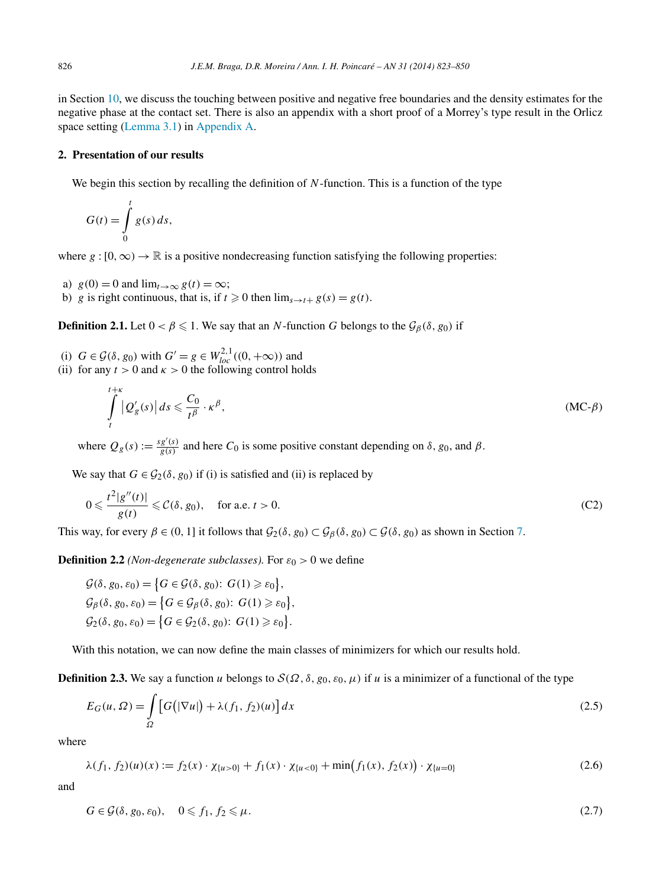<span id="page-3-0"></span>in Section [10,](#page-24-0) we discuss the touching between positive and negative free boundaries and the density estimates for the negative phase at the contact set. There is also an appendix with a short proof of a Morrey's type result in the Orlicz space setting [\(Lemma 3.1\)](#page-6-0) in [Appendix A.](#page-26-0)

## **2. Presentation of our results**

We begin this section by recalling the definition of N-function. This is a function of the type

$$
G(t) = \int\limits_0^t g(s) \, ds,
$$

*t*+*κ*

where  $g : [0, \infty) \to \mathbb{R}$  is a positive nondecreasing function satisfying the following properties:

- a)  $g(0) = 0$  and  $\lim_{t\to\infty} g(t) = \infty$ ;
- b) *g* is right continuous, that is, if  $t \ge 0$  then  $\lim_{s \to t+} g(s) = g(t)$ .

**Definition 2.1.** Let  $0 < \beta \leq 1$ . We say that an *N*-function *G* belongs to the  $\mathcal{G}_{\beta}(\delta, g_0)$  if

- (i)  $G \in \mathcal{G}(\delta, g_0)$  with  $G' = g \in W_{loc}^{2,1}((0, +\infty))$  and
- (ii) for any  $t > 0$  and  $\kappa > 0$  the following control holds

$$
\int_{t}^{t+\kappa} |Q'_g(s)| ds \leqslant \frac{C_0}{t^{\beta}} \cdot \kappa^{\beta},\tag{MC- $\beta$ )
$$

where  $Q_g(s) := \frac{sg'(s)}{g(s)}$  and here  $C_0$  is some positive constant depending on  $\delta$ ,  $g_0$ , and  $\beta$ .

We say that  $G \in \mathcal{G}_2(\delta, g_0)$  if (i) is satisfied and (ii) is replaced by

$$
0 \leqslant \frac{t^2|g''(t)|}{g(t)} \leqslant \mathcal{C}(\delta, g_0), \quad \text{for a.e. } t > 0. \tag{C2}
$$

This way, for every  $\beta \in (0, 1]$  it follows that  $\mathcal{G}_2(\delta, g_0) \subset \mathcal{G}_\beta(\delta, g_0) \subset \mathcal{G}(\delta, g_0)$  as shown in Section [7.](#page-15-0)

**Definition 2.2** *(Non-degenerate subclasses)*. For  $\varepsilon_0 > 0$  we define

$$
\mathcal{G}(\delta, g_0, \varepsilon_0) = \left\{ G \in \mathcal{G}(\delta, g_0): G(1) \geq \varepsilon_0 \right\},
$$
  
\n
$$
\mathcal{G}_{\beta}(\delta, g_0, \varepsilon_0) = \left\{ G \in \mathcal{G}_{\beta}(\delta, g_0): G(1) \geq \varepsilon_0 \right\},
$$
  
\n
$$
\mathcal{G}_2(\delta, g_0, \varepsilon_0) = \left\{ G \in \mathcal{G}_2(\delta, g_0): G(1) \geq \varepsilon_0 \right\}.
$$

With this notation, we can now define the main classes of minimizers for which our results hold.

**Definition 2.3.** We say a function *u* belongs to  $S(\Omega, \delta, g_0, \varepsilon_0, \mu)$  if *u* is a minimizer of a functional of the type

$$
E_G(u, \Omega) = \int_{\Omega} \left[ G\left( |\nabla u| \right) + \lambda (f_1, f_2)(u) \right] dx \tag{2.5}
$$

where

 $\lambda(f_1, f_2)(u)(x) := f_2(x) \cdot \chi_{\{u>0\}} + f_1(x) \cdot \chi_{\{u<0\}} + \min(f_1(x), f_2(x)) \cdot \chi_{\{u=0\}}$  (2.6)

and

$$
G \in \mathcal{G}(\delta, g_0, \varepsilon_0), \quad 0 \leq f_1, f_2 \leq \mu. \tag{2.7}
$$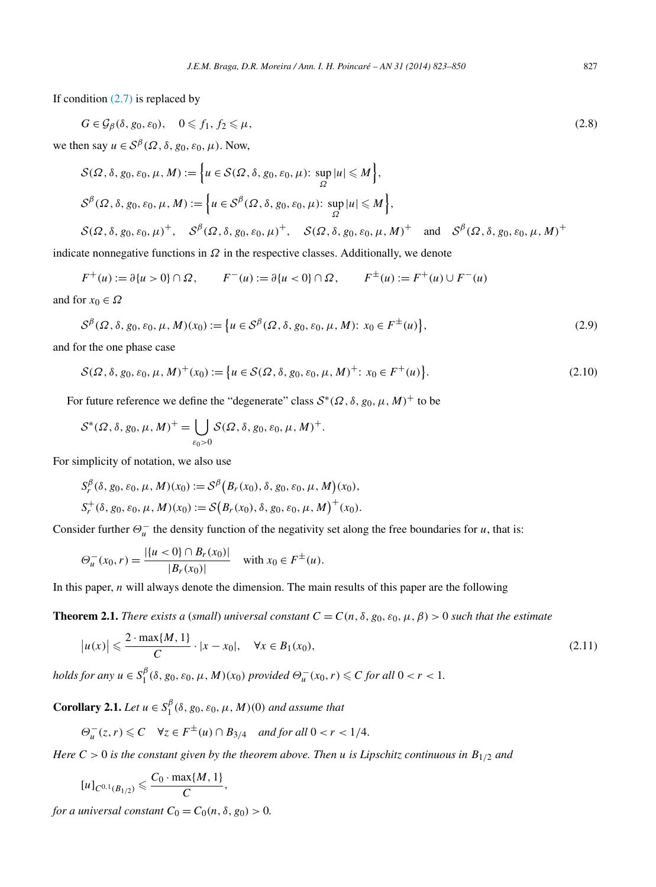<span id="page-4-0"></span>If condition  $(2.7)$  is replaced by

$$
G \in \mathcal{G}_{\beta}(\delta, g_0, \varepsilon_0), \quad 0 \leq f_1, f_2 \leq \mu,\tag{2.8}
$$

we then say  $u \in S^{\beta}(\Omega, \delta, g_0, \varepsilon_0, \mu)$ . Now,

$$
S(\Omega, \delta, g_0, \varepsilon_0, \mu, M) := \left\{ u \in S(\Omega, \delta, g_0, \varepsilon_0, \mu) \colon \sup_{\Omega} |u| \le M \right\},\
$$
  

$$
S^{\beta}(\Omega, \delta, g_0, \varepsilon_0, \mu, M) := \left\{ u \in S^{\beta}(\Omega, \delta, g_0, \varepsilon_0, \mu) \colon \sup_{\Omega} |u| \le M \right\},\
$$
  

$$
S(\Omega, \delta, g_0, \varepsilon_0, \mu)^+, \quad S^{\beta}(\Omega, \delta, g_0, \varepsilon_0, \mu)^+, \quad S(\Omega, \delta, g_0, \varepsilon_0, \mu, M)^+ \text{ and } S^{\beta}(\Omega, \delta, g_0, \varepsilon_0, \mu, M)^+ \right\}
$$

indicate nonnegative functions in  $\Omega$  in the respective classes. Additionally, we denote

 $F^+(u) := \partial\{u > 0\} \cap \Omega$ ,  $F^-(u) := \partial\{u < 0\} \cap \Omega$ ,  $F^{\pm}(u) := F^+(u) \cup F^-(u)$ and for  $x_0 \in \Omega$ 

$$
\mathcal{S}^{\beta}(\Omega, \delta, g_0, \varepsilon_0, \mu, M)(x_0) := \left\{ u \in \mathcal{S}^{\beta}(\Omega, \delta, g_0, \varepsilon_0, \mu, M) : x_0 \in F^{\pm}(u) \right\},\
$$

and for the one phase case

$$
S(\Omega, \delta, g_0, \varepsilon_0, \mu, M)^{+}(x_0) := \{ u \in S(\Omega, \delta, g_0, \varepsilon_0, \mu, M)^{+} : x_0 \in F^+(u) \}.
$$
\n(2.10)

For future reference we define the "degenerate" class  $S^*(\Omega, \delta, g_0, \mu, M)^+$  to be

$$
\mathcal{S}^*(\Omega,\delta,g_0,\mu,M)^+=\bigcup_{\varepsilon_0>0}\mathcal{S}(\Omega,\delta,g_0,\varepsilon_0,\mu,M)^+.
$$

For simplicity of notation, we also use

$$
S_r^{\beta}(\delta, g_0, \varepsilon_0, \mu, M)(x_0) := S^{\beta} (B_r(x_0), \delta, g_0, \varepsilon_0, \mu, M)(x_0),
$$
  

$$
S_r^+(\delta, g_0, \varepsilon_0, \mu, M)(x_0) := S (B_r(x_0), \delta, g_0, \varepsilon_0, \mu, M)^+(x_0).
$$

Consider further  $\Theta_u^-$  the density function of the negativity set along the free boundaries for *u*, that is:

$$
\Theta_u^-(x_0, r) = \frac{|\{u < 0\} \cap B_r(x_0)|}{|B_r(x_0)|} \quad \text{with } x_0 \in F^{\pm}(u).
$$

In this paper, *n* will always denote the dimension. The main results of this paper are the following

**Theorem 2.1.** *There exists a (small) universal constant*  $C = C(n, \delta, g_0, \epsilon_0, \mu, \beta) > 0$  *such that the estimate* 

$$
|u(x)| \leq \frac{2 \cdot \max\{M, 1\}}{C} \cdot |x - x_0|, \quad \forall x \in B_1(x_0),
$$
 (2.11)

*holds for any*  $u \in S_1^{\beta}(\delta, g_0, \varepsilon_0, \mu, M)(x_0)$  *provided*  $\Theta_u^-(x_0, r) \leq C$  *for all*  $0 < r < 1$ *.* 

**Corollary 2.1.** *Let*  $u \in S_1^{\beta}(\delta, g_0, \varepsilon_0, \mu, M)(0)$  *and assume that* 

$$
\Theta^-_u(z,r) \leqslant C \quad \forall z \in F^{\pm}(u) \cap B_{3/4} \quad \text{and for all } 0 < r < 1/4.
$$

*Here C >* 0 *is the constant given by the theorem above. Then u is Lipschitz continuous in B*1*/*<sup>2</sup> *and*

$$
[u]_{C^{0,1}(B_{1/2})} \leqslant \frac{C_0 \cdot \max\{M, 1\}}{C},
$$

*for a universal constant*  $C_0 = C_0(n, \delta, g_0) > 0$ .

*,* (2.9)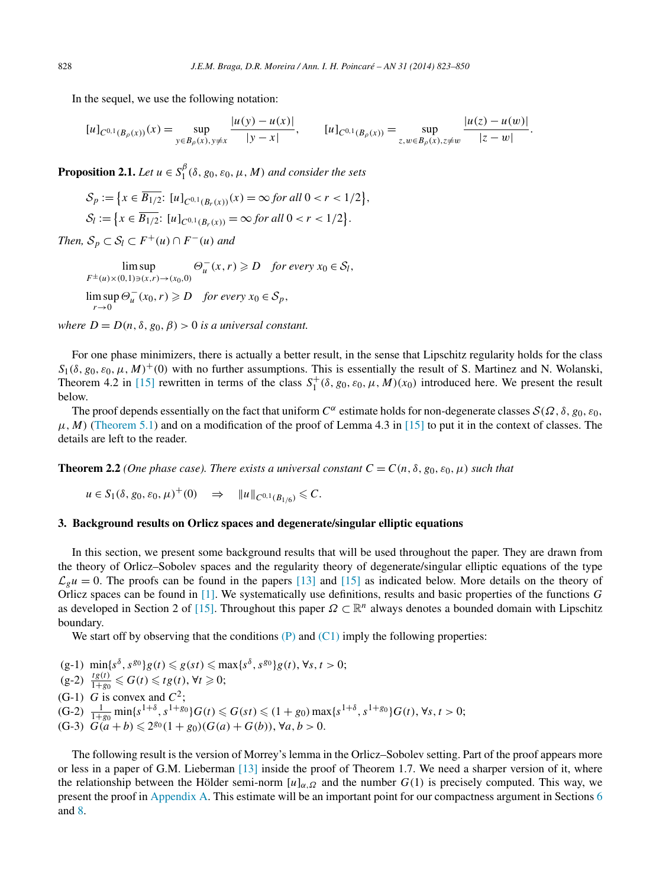<span id="page-5-0"></span>In the sequel, we use the following notation:

$$
[u]_{C^{0,1}(B_{\rho}(x))}(x) = \sup_{y \in B_{\rho}(x), y \neq x} \frac{|u(y) - u(x)|}{|y - x|}, \qquad [u]_{C^{0,1}(B_{\rho}(x))} = \sup_{z, w \in B_{\rho}(x), z \neq w} \frac{|u(z) - u(w)|}{|z - w|}.
$$

**Proposition 2.1.** *Let*  $u \in S_1^{\beta}(\delta, g_0, \varepsilon_0, \mu, M)$  *and consider the sets* 

$$
\mathcal{S}_p := \{ x \in \overline{B_{1/2}}: [u]_{C^{0,1}(B_r(x))}(x) = \infty \text{ for all } 0 < r < 1/2 \},
$$
\n
$$
\mathcal{S}_l := \{ x \in \overline{B_{1/2}}: [u]_{C^{0,1}(B_r(x))} = \infty \text{ for all } 0 < r < 1/2 \}.
$$

*Then,*  $S_p \subset S_l \subset F^+(u) \cap F^-(u)$  *and* 

lim sup  $F^{\pm}(u) \times (0,1) \ni (x,r) \rightarrow (x_0,0)$  $\Theta_u^-(x,r) \geqslant D$  *for every*  $x_0 \in S_l$ ,  $\limsup_{n \to \infty} \Theta_u^{-}(x_0, r) \geq D$  *for every*  $x_0 \in S_p$ , *r*→0

*where*  $D = D(n, \delta, g_0, \beta) > 0$  *is a universal constant.* 

For one phase minimizers, there is actually a better result, in the sense that Lipschitz regularity holds for the class  $S_1(\delta, g_0, \varepsilon_0, \mu, M)^+$ (0) with no further assumptions. This is essentially the result of S. Martinez and N. Wolanski, Theorem 4.2 in [\[15\]](#page-27-0) rewritten in terms of the class  $S_1^+(\delta, g_0, \varepsilon_0, \mu, M)(x_0)$  introduced here. We present the result below.

The proof depends essentially on the fact that uniform  $C^{\alpha}$  estimate holds for non-degenerate classes  $S(\Omega,\delta,g_0,\epsilon_0,\epsilon_0)$  $\mu$ , *M*) [\(Theorem 5.1\)](#page-9-0) and on a modification of the proof of Lemma 4.3 in [\[15\]](#page-27-0) to put it in the context of classes. The details are left to the reader.

**Theorem 2.2** *(One phase case). There exists a universal constant*  $C = C(n, \delta, g_0, \epsilon_0, \mu)$  *such that* 

$$
u \in S_1(\delta, g_0, \varepsilon_0, \mu)^+(0) \Rightarrow \|u\|_{C^{0,1}(B_{1/6})} \leq C.
$$

#### **3. Background results on Orlicz spaces and degenerate/singular elliptic equations**

In this section, we present some background results that will be used throughout the paper. They are drawn from the theory of Orlicz–Sobolev spaces and the regularity theory of degenerate/singular elliptic equations of the type  $\mathcal{L}_g u = 0$ . The proofs can be found in the papers [\[13\]](#page-27-0) and [\[15\]](#page-27-0) as indicated below. More details on the theory of Orlicz spaces can be found in [\[1\].](#page-27-0) We systematically use definitions, results and basic properties of the functions *G* as developed in Section 2 of [\[15\].](#page-27-0) Throughout this paper *Ω* ⊂ R*<sup>n</sup>* always denotes a bounded domain with Lipschitz boundary.

We start off by observing that the conditions  $(P)$  and  $(C1)$  imply the following properties:

 $(g-1)$  min{ $s^{\delta}, s^{g_0}$ } $g(t) \leq g(st) \leq \max\{s^{\delta}, s^{g_0}\}g(t), \forall s, t > 0;$  $(g-2)$   $\frac{tg(t)}{1+g_0} \leqslant G(t) \leqslant tg(t), \forall t \geqslant 0;$ (G-1) *G* is convex and  $C^2$ ;  $(G-2)$   $\frac{1}{1+g_0} \min\{s^{1+\delta}, s^{1+g_0}\} G(t) \leq G(st) \leq (1+g_0) \max\{s^{1+\delta}, s^{1+g_0}\} G(t), \forall s, t > 0;$  $(G-3)$   $G(a + b) \leq 2^{g_0}(1 + g_0)(G(a) + G(b))$ ,  $\forall a, b > 0$ .

The following result is the version of Morrey's lemma in the Orlicz–Sobolev setting. Part of the proof appears more or less in a paper of G.M. Lieberman [\[13\]](#page-27-0) inside the proof of Theorem 1.7. We need a sharper version of it, where the relationship between the Hölder semi-norm  $[u]_{\alpha,\Omega}$  and the number  $G(1)$  is precisely computed. This way, we present the proof in [Appendix A.](#page-26-0) This estimate will be an important point for our compactness argument in Sections [6](#page-11-0) and [8.](#page-16-0)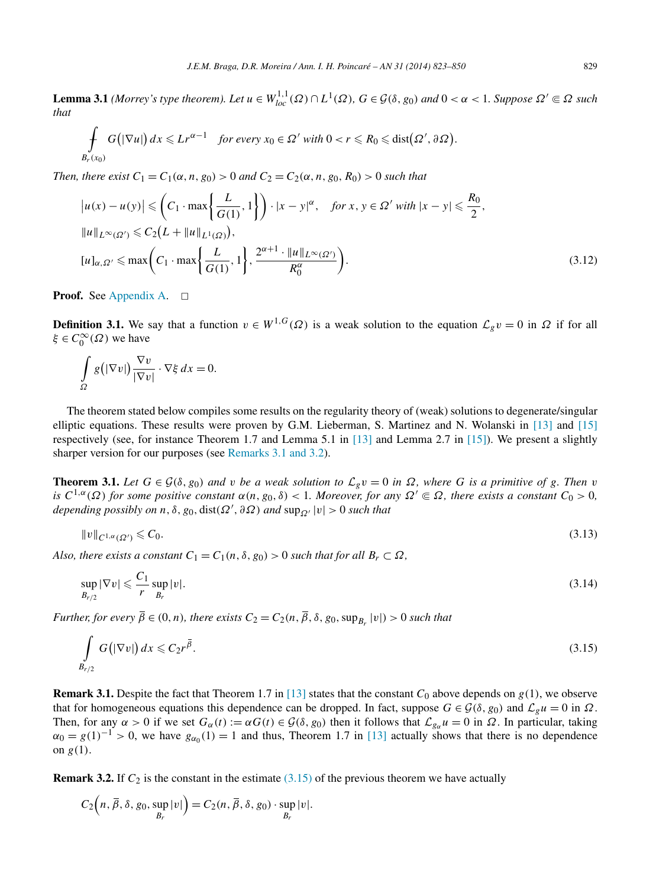<span id="page-6-0"></span>**Lemma 3.1** (Morrey's type theorem). Let  $u \in W^{1,1}_{loc}(\Omega) \cap L^1(\Omega)$ ,  $G \in \mathcal{G}(\delta, g_0)$  and  $0 < \alpha < 1$ . Suppose  $\Omega' \subseteq \Omega$  such *that*

$$
\int_{B_r(x_0)} G(|\nabla u|) dx \leqslant Lr^{\alpha-1} \quad \text{for every } x_0 \in \Omega' \text{ with } 0 < r \leqslant R_0 \leqslant \text{dist}(\Omega', \partial \Omega).
$$

*Then, there exist*  $C_1 = C_1(\alpha, n, g_0) > 0$  *and*  $C_2 = C_2(\alpha, n, g_0, R_0) > 0$  *such that* 

$$
|u(x) - u(y)| \leqslant \left(C_1 \cdot \max\left\{\frac{L}{G(1)}, 1\right\}\right) \cdot |x - y|^{\alpha}, \quad \text{for } x, y \in \Omega' \text{ with } |x - y| \leqslant \frac{R_0}{2},
$$
\n
$$
||u||_{L^{\infty}(\Omega')} \leqslant C_2 \left(L + ||u||_{L^1(\Omega)}\right),
$$
\n
$$
[u]_{\alpha, \Omega'} \leqslant \max\left(C_1 \cdot \max\left\{\frac{L}{G(1)}, 1\right\}, \frac{2^{\alpha+1} \cdot ||u||_{L^{\infty}(\Omega')}}{R_0^{\alpha}}\right).
$$
\n(3.12)

**Proof.** See [Appendix A.](#page-26-0) □

**Definition 3.1.** We say that a function  $v \in W^{1,G}(\Omega)$  is a weak solution to the equation  $\mathcal{L}_{g}v = 0$  in  $\Omega$  if for all *ξ* ∈  $C_0^{\infty}$  (Ω) we have

$$
\int_{\Omega} g\big(|\nabla v|\big) \frac{\nabla v}{|\nabla v|} \cdot \nabla \xi \, dx = 0.
$$

The theorem stated below compiles some results on the regularity theory of (weak) solutions to degenerate/singular elliptic equations. These results were proven by G.M. Lieberman, S. Martinez and N. Wolanski in [\[13\]](#page-27-0) and [\[15\]](#page-27-0) respectively (see, for instance Theorem 1.7 and Lemma 5.1 in [\[13\]](#page-27-0) and Lemma 2.7 in [\[15\]\)](#page-27-0). We present a slightly sharper version for our purposes (see Remarks 3.1 and 3.2).

**Theorem 3.1.** Let  $G \in \mathcal{G}(\delta, g_0)$  and v be a weak solution to  $\mathcal{L}_g v = 0$  in  $\Omega$ , where G is a primitive of g. Then v *is*  $C^{1,\alpha}(\Omega)$  *for some positive constant*  $\alpha(n, g_0, \delta) < 1$ *. Moreover, for any*  $\Omega' \subseteq \Omega$ *, there exists a constant*  $C_0 > 0$ *,*  $\alpha$ *depending possibly on*  $n, \delta, g_0$ , dist $(\Omega', \partial \Omega)$  *and*  $\sup_{\Omega'} |v| > 0$  *such that* 

$$
||v||_{C^{1,\alpha}(\Omega')} \leq C_0. \tag{3.13}
$$

*Also, there exists a constant*  $C_1 = C_1(n, \delta, g_0) > 0$  *such that for all*  $B_r \subset \Omega$ *,* 

$$
\sup_{B_{r/2}} |\nabla v| \leqslant \frac{C_1}{r} \sup_{B_r} |v|.
$$
\n(3.14)

*Further, for every*  $\overline{\beta} \in (0, n)$ *, there exists*  $C_2 = C_2(n, \overline{\beta}, \delta, g_0, \sup_{B_r} |v|) > 0$  *such that* 

$$
\int\limits_{B_{r/2}} G\big(|\nabla v|\big)\,dx \leqslant C_2 r^{\overline{\beta}}.\tag{3.15}
$$

**Remark 3.1.** Despite the fact that Theorem 1.7 in [\[13\]](#page-27-0) states that the constant  $C_0$  above depends on  $g(1)$ , we observe that for homogeneous equations this dependence can be dropped. In fact, suppose  $G \in \mathcal{G}(\delta, g_0)$  and  $\mathcal{L}_{g}u = 0$  in  $\Omega$ . Then, for any  $\alpha > 0$  if we set  $G_{\alpha}(t) := \alpha G(t) \in \mathcal{G}(\delta, g_0)$  then it follows that  $\mathcal{L}_{g_{\alpha}} u = 0$  in  $\Omega$ . In particular, taking  $\alpha_0 = g(1)^{-1} > 0$ , we have  $g_{\alpha_0}(1) = 1$  and thus, Theorem 1.7 in [\[13\]](#page-27-0) actually shows that there is no dependence on  $g(1)$ .

**Remark 3.2.** If  $C_2$  is the constant in the estimate (3.15) of the previous theorem we have actually

$$
C_2\Big(n, \overline{\beta}, \delta, g_0, \sup_{B_r}|v|\Big) = C_2(n, \overline{\beta}, \delta, g_0) \cdot \sup_{B_r}|v|.
$$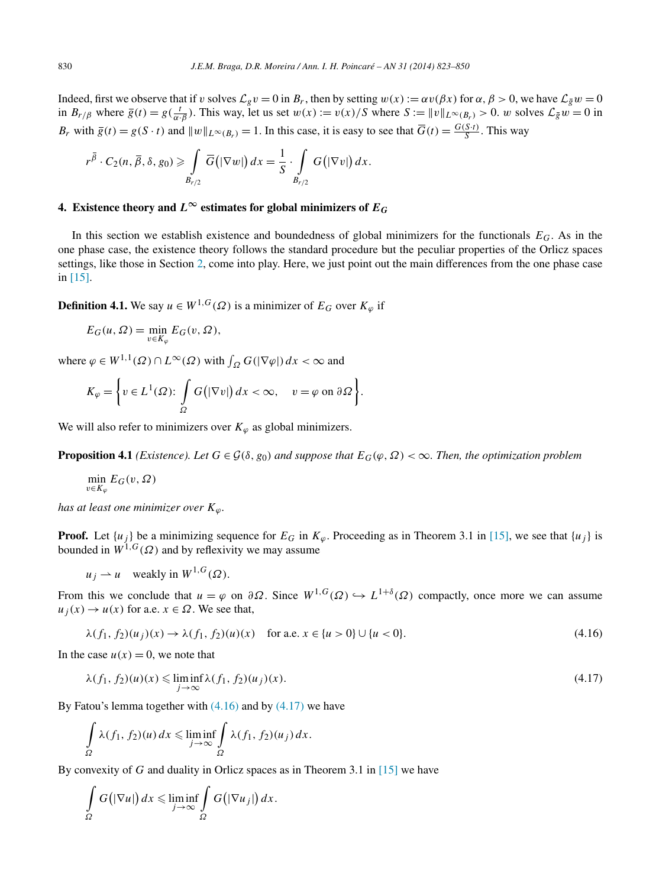<span id="page-7-0"></span>Indeed, first we observe that if *v* solves  $\mathcal{L}_{g}v = 0$  in  $B_r$ , then by setting  $w(x) := \alpha v(\beta x)$  for  $\alpha, \beta > 0$ , we have  $\mathcal{L}_{g}w = 0$ in  $B_{r/\beta}$  where  $\overline{g}(t) = g(\frac{t}{\alpha \cdot \beta})$ . This way, let us set  $w(x) := v(x)/S$  where  $S := ||v||_{L^{\infty}(B_r)} > 0$ . *w* solves  $\mathcal{L}_{\overline{g}}w = 0$  in *B<sub>r</sub>* with  $\overline{g}(t) = g(S \cdot t)$  and  $||w||_{L^{\infty}(B_r)} = 1$ . In this case, it is easy to see that  $\overline{G}(t) = \frac{G(S \cdot t)}{S}$ . This way

$$
r^{\overline{\beta}} \cdot C_2(n, \overline{\beta}, \delta, g_0) \geqslant \int\limits_{B_{r/2}} \overline{G}(|\nabla w|) dx = \frac{1}{S} \cdot \int\limits_{B_{r/2}} G(|\nabla v|) dx.
$$

## **4.** Existence theory and  $L^{\infty}$  estimates for global minimizers of  $E_G$

In this section we establish existence and boundedness of global minimizers for the functionals *EG*. As in the one phase case, the existence theory follows the standard procedure but the peculiar properties of the Orlicz spaces settings, like those in Section [2,](#page-3-0) come into play. Here, we just point out the main differences from the one phase case in [\[15\].](#page-27-0)

**Definition 4.1.** We say  $u \in W^{1,G}(\Omega)$  is a minimizer of  $E_G$  over  $K_{\varphi}$  if

$$
E_G(u, \Omega) = \min_{v \in K_\varphi} E_G(v, \Omega),
$$

where  $\varphi \in W^{1,1}(\Omega) \cap L^{\infty}(\Omega)$  with  $\int_{\Omega} G(|\nabla \varphi|) dx < \infty$  and

$$
K_{\varphi} = \left\{ v \in L^{1}(\Omega) : \int\limits_{\Omega} G\big(|\nabla v|\big) dx < \infty, \quad v = \varphi \text{ on } \partial \Omega \right\}.
$$

We will also refer to minimizers over  $K_{\varphi}$  as global minimizers.

**Proposition 4.1** *(Existence). Let*  $G \in \mathcal{G}(\delta, g_0)$  *and suppose that*  $E_G(\varphi, \Omega) < \infty$ *. Then, the optimization problem* 

$$
\min_{v \in K_{\varphi}} E_G(v, \Omega)
$$

*has at least one minimizer over*  $K_{\varphi}$ *.* 

**Proof.** Let  $\{u_j\}$  be a minimizing sequence for  $E_G$  in  $K_\varphi$ . Proceeding as in Theorem 3.1 in [\[15\],](#page-27-0) we see that  $\{u_j\}$  is bounded in  $W^{1,G}(\Omega)$  and by reflexivity we may assume

 $u_i \rightharpoonup u$  weakly in  $W^{1,G}(\Omega)$ .

From this we conclude that  $u = \varphi$  on  $\partial \Omega$ . Since  $W^{1,G}(\Omega) \hookrightarrow L^{1+\delta}(\Omega)$  compactly, once more we can assume  $u_j(x) \to u(x)$  for a.e.  $x \in \Omega$ . We see that,

$$
\lambda(f_1, f_2)(u_j)(x) \to \lambda(f_1, f_2)(u)(x) \quad \text{for a.e. } x \in \{u > 0\} \cup \{u < 0\}. \tag{4.16}
$$

In the case  $u(x) = 0$ , we note that

$$
\lambda(f_1, f_2)(u)(x) \leq \liminf_{j \to \infty} \lambda(f_1, f_2)(u_j)(x). \tag{4.17}
$$

By Fatou's lemma together with  $(4.16)$  and by  $(4.17)$  we have

$$
\int_{\Omega} \lambda(f_1, f_2)(u) dx \leq \liminf_{j \to \infty} \int_{\Omega} \lambda(f_1, f_2)(u_j) dx.
$$

By convexity of *G* and duality in Orlicz spaces as in Theorem 3.1 in [\[15\]](#page-27-0) we have

$$
\int_{\Omega} G(|\nabla u|) dx \leq \liminf_{j \to \infty} \int_{\Omega} G(|\nabla u_j|) dx.
$$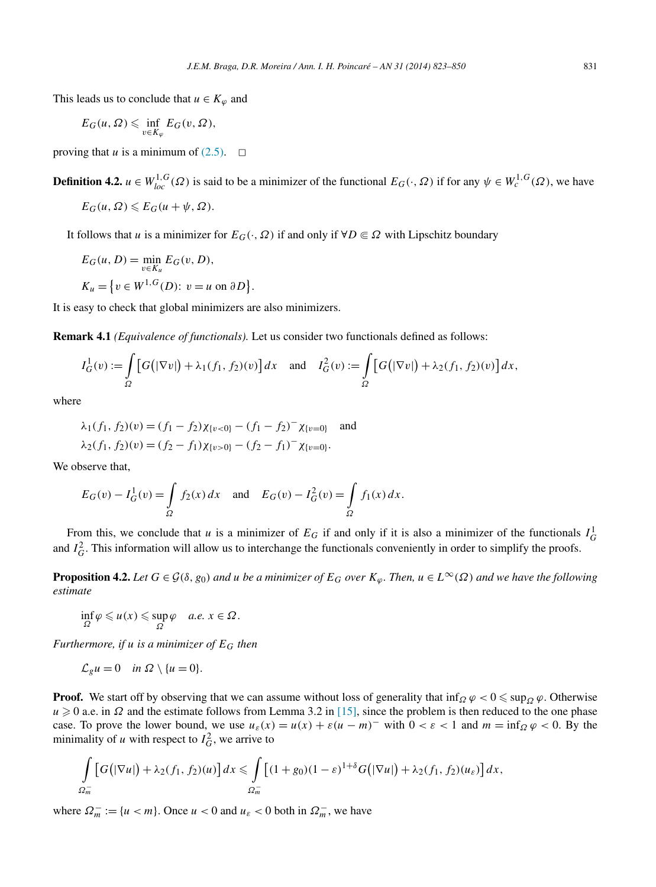<span id="page-8-0"></span>This leads us to conclude that  $u \in K_{\varphi}$  and

$$
E_G(u, \Omega) \leq \inf_{v \in K_\varphi} E_G(v, \Omega),
$$

proving that *u* is a minimum of  $(2.5)$ .  $\Box$ 

**Definition 4.2.**  $u \in W_{loc}^{1,G}(\Omega)$  is said to be a minimizer of the functional  $E_G(\cdot, \Omega)$  if for any  $\psi \in W_c^{1,G}(\Omega)$ , we have

$$
E_G(u,\Omega)\leqslant E_G(u+\psi,\Omega).
$$

It follows that *u* is a minimizer for  $E_G(\cdot, \Omega)$  if and only if  $\forall D \in \Omega$  with Lipschitz boundary

$$
E_G(u, D) = \min_{v \in K_u} E_G(v, D),
$$
  

$$
K_u = \{v \in W^{1, G}(D): v = u \text{ on } \partial D\}
$$

It is easy to check that global minimizers are also minimizers.

**Remark 4.1** *(Equivalence of functionals).* Let us consider two functionals defined as follows:

*.*

$$
I_G^1(v) := \int_{\Omega} \left[ G(|\nabla v|) + \lambda_1(f_1, f_2)(v) \right] dx \text{ and } I_G^2(v) := \int_{\Omega} \left[ G(|\nabla v|) + \lambda_2(f_1, f_2)(v) \right] dx,
$$

where

$$
\lambda_1(f_1, f_2)(v) = (f_1 - f_2)\chi_{\{v < 0\}} - (f_1 - f_2)^{-} \chi_{\{v = 0\}} \quad \text{and}
$$
\n
$$
\lambda_2(f_1, f_2)(v) = (f_2 - f_1)\chi_{\{v > 0\}} - (f_2 - f_1)^{-} \chi_{\{v = 0\}}.
$$

We observe that,

$$
E_G(v) - I_G^1(v) = \int_{\Omega} f_2(x) dx
$$
 and  $E_G(v) - I_G^2(v) = \int_{\Omega} f_1(x) dx$ .

From this, we conclude that *u* is a minimizer of  $E_G$  if and only if it is also a minimizer of the functionals  $I_G^1$ and  $I_G^2$ . This information will allow us to interchange the functionals conveniently in order to simplify the proofs.

**Proposition 4.2.** *Let*  $G \in \mathcal{G}(\delta, g_0)$  *and*  $u$  *be a minimizer of*  $E_G$  *over*  $K_{\varphi}$ . Then,  $u \in L^{\infty}(\Omega)$  *and we have the following estimate*

$$
\inf_{\Omega} \varphi \leq u(x) \leq \sup_{\Omega} \varphi \quad a.e. \; x \in \Omega.
$$

*Furthermore, if u is a minimizer of EG then*

$$
\mathcal{L}_g u = 0 \quad \text{in } \Omega \setminus \{u = 0\}.
$$

**Proof.** We start off by observing that we can assume without loss of generality that  $\inf_{\Omega} \varphi < 0 \leq \sup_{\Omega} \varphi$ . Otherwise  $u \ge 0$  a.e. in  $\Omega$  and the estimate follows from Lemma 3.2 in [\[15\],](#page-27-0) since the problem is then reduced to the one phase case. To prove the lower bound, we use  $u_{\varepsilon}(x) = u(x) + \varepsilon(u - m)^{-}$  with  $0 < \varepsilon < 1$  and  $m = \inf_{\Omega} \varphi < 0$ . By the minimality of *u* with respect to  $I_G^2$ , we arrive to

$$
\int\limits_{\Omega_m^-} \left[G\big(|\nabla u|\big)+\lambda_2(f_1,f_2)(u)\right]dx \leqslant \int\limits_{\Omega_m^-} \left[(1+g_0)(1-\varepsilon)^{1+\delta}G\big(|\nabla u|\big)+\lambda_2(f_1,f_2)(u_\varepsilon)\right]dx,
$$

where  $\Omega_m^- := \{u < m\}$ . Once  $u < 0$  and  $u_\varepsilon < 0$  both in  $\Omega_m^-$ , we have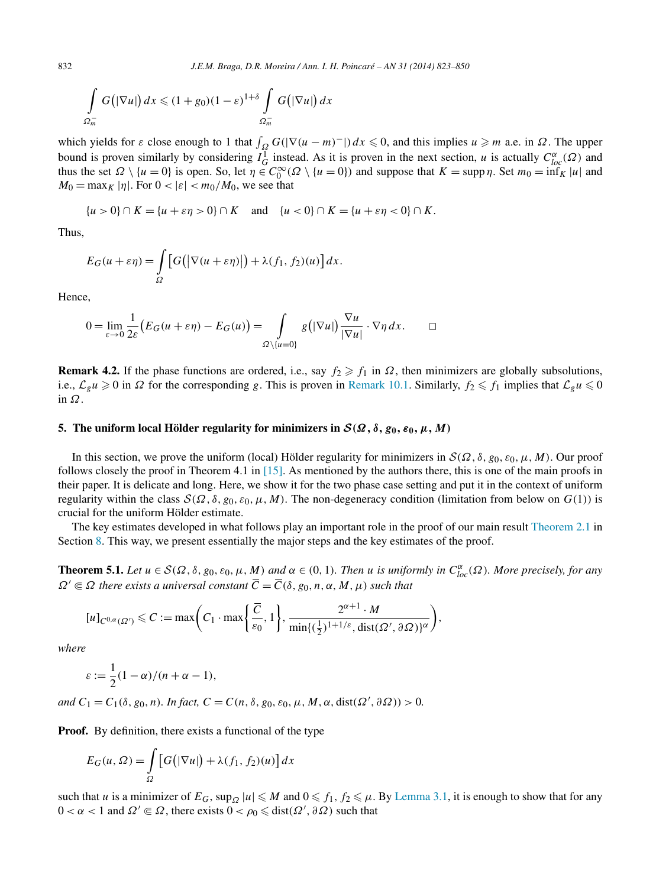<span id="page-9-0"></span>832 *J.E.M. Braga, D.R. Moreira / Ann. I. H. Poincaré – AN 31 (2014) 823–850*

$$
\int\limits_{\Omega_m^-} G(|\nabla u|) dx \leq (1+g_0)(1-\varepsilon)^{1+\delta} \int\limits_{\Omega_m^-} G(|\nabla u|) dx
$$

which yields for  $\varepsilon$  close enough to 1 that  $\int_{\Omega} G(|\nabla(u - m)^{-}|) dx \leq 0$ , and this implies  $u \geq m$  a.e. in  $\Omega$ . The upper bound is proven similarly by considering  $I_G^1$  instead. As it is proven in the next section, *u* is actually  $C_{loc}^{\alpha}(\Omega)$  and thus the set  $\Omega \setminus \{u = 0\}$  is open. So, let  $\eta \in C_0^{\infty}(\Omega \setminus \{u = 0\})$  and suppose that  $K = \text{supp }\eta$ . Set  $m_0 = \inf_K |u|$  and  $M_0 = \max_K |\eta|$ . For  $0 < |\varepsilon| < m_0/M_0$ , we see that

$$
\{u > 0\} \cap K = \{u + \varepsilon \eta > 0\} \cap K \quad \text{and} \quad \{u < 0\} \cap K = \{u + \varepsilon \eta < 0\} \cap K.
$$

Thus,

$$
E_G(u+\varepsilon\eta) = \int_{\Omega} \left[ G(|\nabla(u+\varepsilon\eta)|) + \lambda(f_1, f_2)(u) \right] dx.
$$

Hence,

$$
0 = \lim_{\varepsilon \to 0} \frac{1}{2\varepsilon} \big( E_G(u + \varepsilon \eta) - E_G(u) \big) = \int_{\Omega \setminus \{u = 0\}} g(|\nabla u|) \frac{\nabla u}{|\nabla u|} \cdot \nabla \eta \, dx. \qquad \Box
$$

**Remark 4.2.** If the phase functions are ordered, i.e., say  $f_2 \geq f_1$  in  $\Omega$ , then minimizers are globally subsolutions, i.e.,  $\mathcal{L}_g u \ge 0$  in  $\Omega$  for the corresponding *g*. This is proven in [Remark 10.1.](#page-24-0) Similarly,  $f_2 \le f_1$  implies that  $\mathcal{L}_g u \le 0$ in *Ω*.

#### **5.** The uniform local Hölder regularity for minimizers in  $\mathcal{S}(\Omega, \delta, g_0, \epsilon_0, \mu, M)$

In this section, we prove the uniform (local) Hölder regularity for minimizers in  $S(\Omega, \delta, g_0, \epsilon_0, \mu, M)$ . Our proof follows closely the proof in Theorem 4.1 in [\[15\].](#page-27-0) As mentioned by the authors there, this is one of the main proofs in their paper. It is delicate and long. Here, we show it for the two phase case setting and put it in the context of uniform regularity within the class  $S(\Omega, \delta, g_0, \varepsilon_0, \mu, M)$ . The non-degeneracy condition (limitation from below on *G*(1)) is crucial for the uniform Hölder estimate.

The key estimates developed in what follows play an important role in the proof of our main result [Theorem](#page-4-0) 2.1 in Section [8.](#page-16-0) This way, we present essentially the major steps and the key estimates of the proof.

**Theorem 5.1.** Let  $u \in S(\Omega, \delta, g_0, \varepsilon_0, \mu, M)$  and  $\alpha \in (0, 1)$ . Then u is uniformly in  $C^{\alpha}_{loc}(\Omega)$ . More precisely, for any  $\Omega' \subseteq \Omega$  *there exists a universal constant*  $\overline{C} = \overline{C}(\delta, g_0, n, \alpha, M, \mu)$  *such that* 

$$
[u]_{C^{0,\alpha}(\Omega')}\leqslant C:=\max\biggl(C_1\cdot\max\biggl\{\frac{\overline{C}}{\varepsilon_0},1\biggr\},\frac{2^{\alpha+1}\cdot M}{\min\{(\frac{1}{2})^{1+1/\varepsilon},\text{dist}(\Omega',\partial\Omega)\}^\alpha}\biggr),
$$

*where*

$$
\varepsilon := \frac{1}{2}(1-\alpha)/(n+\alpha-1),
$$

 $and C_1 = C_1(\delta, g_0, n)$ *. In fact,*  $C = C(n, \delta, g_0, \varepsilon_0, \mu, M, \alpha, \text{dist}(\Omega', \partial \Omega)) > 0$ .

**Proof.** By definition, there exists a functional of the type

$$
E_G(u, \Omega) = \int_{\Omega} \left[ G\big(|\nabla u|\big) + \lambda(f_1, f_2)(u) \right] dx
$$

such that *u* is a minimizer of  $E_G$ ,  $\sup_Q |u| \le M$  and  $0 \le f_1, f_2 \le \mu$ . By [Lemma 3.1,](#page-6-0) it is enough to show that for any  $0 < \alpha < 1$  and  $\Omega' \subseteq \Omega$ , there exists  $0 < \rho_0 \leq \text{dist}(\Omega', \partial \Omega)$  such that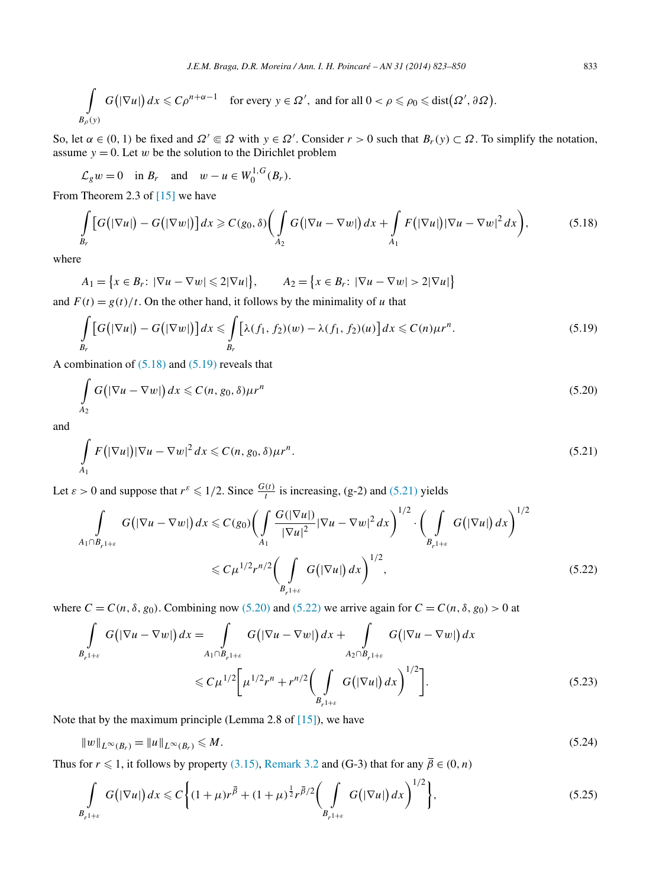<span id="page-10-0"></span>
$$
\int\limits_{B_{\rho}(y)} G(|\nabla u|) dx \leqslant C\rho^{n+\alpha-1} \quad \text{for every } y \in \Omega', \text{ and for all } 0 < \rho \leqslant \rho_0 \leqslant \text{dist}(\Omega', \partial \Omega).
$$

So, let  $\alpha \in (0, 1)$  be fixed and  $\Omega' \subseteq \Omega$  with  $y \in \Omega'$ . Consider  $r > 0$  such that  $B_r(y) \subset \Omega$ . To simplify the notation, assume  $y = 0$ . Let *w* be the solution to the Dirichlet problem

 $\mathcal{L}_{g} w = 0$  in  $B_{r}$  and  $w - u \in W_0^{1, G}(B_{r}).$ 

From Theorem 2.3 of [\[15\]](#page-27-0) we have

$$
\int\limits_{B_r} \left[ G\big(|\nabla u|\big) - G\big(|\nabla w|\big)\right] dx \geqslant C(g_0, \delta) \bigg( \int\limits_{A_2} G\big(|\nabla u - \nabla w|\big) dx + \int\limits_{A_1} F\big(|\nabla u|\big) |\nabla u - \nabla w|^2 dx \bigg),\tag{5.18}
$$

where

$$
A_1 = \{x \in B_r : |\nabla u - \nabla w| \leq 2|\nabla u|\}, \qquad A_2 = \{x \in B_r : |\nabla u - \nabla w| > 2|\nabla u|\}
$$

and  $F(t) = g(t)/t$ . On the other hand, it follows by the minimality of *u* that

$$
\int_{B_r} \left[ G\big(|\nabla u|\big) - G\big(|\nabla w|\big)\right] dx \leqslant \int_{B_r} \left[ \lambda(f_1, f_2)(w) - \lambda(f_1, f_2)(u) \right] dx \leqslant C(n) \mu r^n. \tag{5.19}
$$

A combination of (5.18) and (5.19) reveals that

$$
\int_{A_2} G\big(|\nabla u - \nabla w|\big) dx \leqslant C(n, g_0, \delta) \mu r^n \tag{5.20}
$$

and

$$
\int_{A_1} F(|\nabla u|) |\nabla u - \nabla w|^2 dx \leqslant C(n, g_0, \delta) \mu r^n.
$$
\n(5.21)

Let  $\varepsilon > 0$  and suppose that  $r^{\varepsilon} \leq 1/2$ . Since  $\frac{G(t)}{t}$  is increasing, (g-2) and (5.21) yields

$$
\int_{A_1 \cap B_{r^{1+\varepsilon}}} G\big(|\nabla u - \nabla w|\big) dx \leqslant C(g_0) \bigg(\int_{A_1} \frac{G(|\nabla u|)}{|\nabla u|^2} |\nabla u - \nabla w|^2 dx\bigg)^{1/2} \cdot \bigg(\int_{B_{r^{1+\varepsilon}}} G\big(|\nabla u|\big) dx\bigg)^{1/2}
$$
\n
$$
\leqslant C \mu^{1/2} r^{n/2} \bigg(\int_{B_{r^{1+\varepsilon}}} G\big(|\nabla u|\big) dx\bigg)^{1/2},\tag{5.22}
$$

where  $C = C(n, \delta, g_0)$ . Combining now (5.20) and (5.22) we arrive again for  $C = C(n, \delta, g_0) > 0$  at

$$
\int_{B_{r^{1+\varepsilon}}} G\big(|\nabla u - \nabla w|\big) dx = \int_{A_1 \cap B_{r^{1+\varepsilon}}} G\big(|\nabla u - \nabla w|\big) dx + \int_{A_2 \cap B_{r^{1+\varepsilon}}} G\big(|\nabla u - \nabla w|\big) dx
$$
\n
$$
\leq C \mu^{1/2} \bigg[ \mu^{1/2} r^n + r^{n/2} \bigg( \int_{B_{r^{1+\varepsilon}}} G\big(|\nabla u|\big) dx \bigg)^{1/2} \bigg].
$$
\n(5.23)

Note that by the maximum principle (Lemma 2.8 of [\[15\]\)](#page-27-0), we have

$$
||w||_{L^{\infty}(B_r)} = ||u||_{L^{\infty}(B_r)} \le M. \tag{5.24}
$$

Thus for  $r \leq 1$ , it follows by property [\(3.15\),](#page-6-0) [Remark 3.2](#page-6-0) and (G-3) that for any  $\overline{\beta} \in (0, n)$ 

$$
\int_{B_{r^{1+\varepsilon}}} G(|\nabla u|) dx \leq C \bigg\{ (1+\mu)r^{\overline{\beta}} + (1+\mu)^{\frac{1}{2}} r^{\overline{\beta}/2} \bigg( \int_{B_{r^{1+\varepsilon}}} G(|\nabla u|) dx \bigg)^{1/2} \bigg\},\tag{5.25}
$$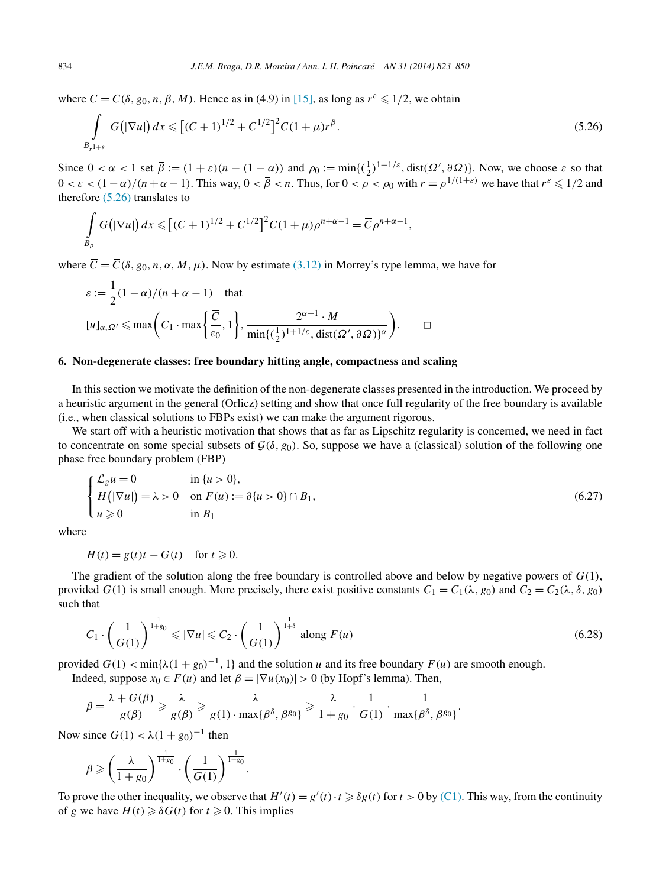<span id="page-11-0"></span>where  $C = C(\delta, g_0, n, \overline{\beta}, M)$ . Hence as in (4.9) in [\[15\],](#page-27-0) as long as  $r^{\varepsilon} \leq 1/2$ , we obtain

$$
\int_{B_{r^{1+\varepsilon}}} G\big(|\nabla u|\big) dx \leqslant \big[ (C+1)^{1/2} + C^{1/2} \big]^2 C (1+\mu) r^{\bar{\beta}}.
$$
\n(5.26)

Since  $0 < \alpha < 1$  set  $\overline{\beta} := (1 + \varepsilon)(n - (1 - \alpha))$  and  $\rho_0 := \min\{(\frac{1}{2})^{1+1/\varepsilon}, \text{dist}(\Omega', \partial \Omega)\}\)$ . Now, we choose  $\varepsilon$  so that  $0 < \varepsilon < (1 - \alpha)/(n + \alpha - 1)$ . This way,  $0 < \overline{\beta} < n$ . Thus, for  $0 < \rho < \rho_0$  with  $r = \rho^{1/(1+\varepsilon)}$  we have that  $r^{\varepsilon} \leq 1/2$  and therefore (5.26) translates to

$$
\int_{B_{\rho}} G(|\nabla u|) dx \leq [C+1]^{1/2} + C^{1/2}]^{2} C (1+\mu) \rho^{n+\alpha-1} = \overline{C} \rho^{n+\alpha-1},
$$

where  $\overline{C} = \overline{C}(\delta, g_0, n, \alpha, M, \mu)$ . Now by estimate [\(3.12\)](#page-6-0) in Morrey's type lemma, we have for

$$
\varepsilon := \frac{1}{2}(1 - \alpha)/(n + \alpha - 1) \text{ that}
$$
  
\n
$$
[u]_{\alpha, \Omega'} \le \max\left(C_1 \cdot \max\left\{\frac{\overline{C}}{\varepsilon_0}, 1\right\}, \frac{2^{\alpha+1} \cdot M}{\min\{(\frac{1}{2})^{1+1/\varepsilon}, \text{dist}(\Omega', \partial \Omega)\}^{\alpha}}\right).
$$

## **6. Non-degenerate classes: free boundary hitting angle, compactness and scaling**

In this section we motivate the definition of the non-degenerate classes presented in the introduction. We proceed by a heuristic argument in the general (Orlicz) setting and show that once full regularity of the free boundary is available (i.e., when classical solutions to FBPs exist) we can make the argument rigorous.

We start off with a heuristic motivation that shows that as far as Lipschitz regularity is concerned, we need in fact to concentrate on some special subsets of  $G(\delta, g_0)$ . So, suppose we have a (classical) solution of the following one phase free boundary problem (FBP)

$$
\begin{cases}\n\mathcal{L}_g u = 0 & \text{in } \{u > 0\}, \\
H\left(|\nabla u|\right) = \lambda > 0 & \text{on } F(u) := \partial\{u > 0\} \cap B_1, \\
u \geqslant 0 & \text{in } B_1\n\end{cases} \tag{6.27}
$$

where

$$
H(t) = g(t)t - G(t) \quad \text{for } t \ge 0.
$$

The gradient of the solution along the free boundary is controlled above and below by negative powers of  $G(1)$ , provided *G*(1) is small enough. More precisely, there exist positive constants  $C_1 = C_1(\lambda, g_0)$  and  $C_2 = C_2(\lambda, \delta, g_0)$ such that

$$
C_1 \cdot \left(\frac{1}{G(1)}\right)^{\frac{1}{1+g_0}} \leqslant |\nabla u| \leqslant C_2 \cdot \left(\frac{1}{G(1)}\right)^{\frac{1}{1+\delta}} \text{ along } F(u) \tag{6.28}
$$

provided  $G(1) < \min\{\lambda(1 + g_0)^{-1}, 1\}$  and the solution *u* and its free boundary  $F(u)$  are smooth enough. Indeed, suppose  $x_0 \in F(u)$  and let  $\beta = |\nabla u(x_0)| > 0$  (by Hopf's lemma). Then,

$$
\beta = \frac{\lambda + G(\beta)}{g(\beta)} \geqslant \frac{\lambda}{g(\beta)} \geqslant \frac{\lambda}{g(1) \cdot \max\{\beta^{\delta}, \beta^{g_0}\}} \geqslant \frac{\lambda}{1 + g_0} \cdot \frac{1}{G(1)} \cdot \frac{1}{\max\{\beta^{\delta}, \beta^{g_0}\}}.
$$

Now since  $G(1) < \lambda(1 + g_0)^{-1}$  then

$$
\beta \geqslant \left(\frac{\lambda}{1+g_0}\right)^{\frac{1}{1+g_0}} \cdot \left(\frac{1}{G(1)}\right)^{\frac{1}{1+g_0}}.
$$

To prove the other inequality, we observe that  $H'(t) = g'(t) \cdot t \geq \delta g(t)$  for  $t > 0$  by [\(C1\).](#page-1-0) This way, from the continuity of *g* we have  $H(t) \geq \delta G(t)$  for  $t \geq 0$ . This implies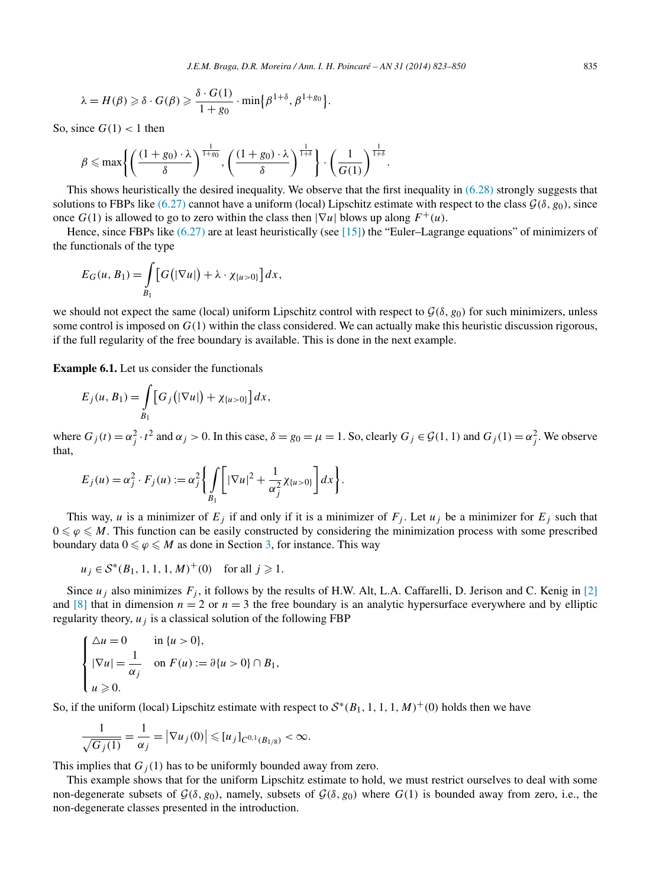$$
\lambda = H(\beta) \geq \delta \cdot G(\beta) \geq \frac{\delta \cdot G(1)}{1 + g_0} \cdot \min\bigl\{\beta^{1+\delta}, \beta^{1+g_0}\bigr\}.
$$

So, since  $G(1) < 1$  then

$$
\beta \leqslant \max \left\{ \left( \frac{(1+g_0) \cdot \lambda}{\delta} \right)^{\frac{1}{1+g_0}}, \left( \frac{(1+g_0) \cdot \lambda}{\delta} \right)^{\frac{1}{1+\delta}} \right\} \cdot \left( \frac{1}{G(1)} \right)^{\frac{1}{1+\delta}}.
$$

This shows heuristically the desired inequality. We observe that the first inequality in [\(6.28\)](#page-11-0) strongly suggests that solutions to FBPs like [\(6.27\)](#page-11-0) cannot have a uniform (local) Lipschitz estimate with respect to the class  $\mathcal{G}(\delta, g_0)$ , since once  $G(1)$  is allowed to go to zero within the class then  $|\nabla u|$  blows up along  $F^+(u)$ .

Hence, since FBPs like [\(6.27\)](#page-11-0) are at least heuristically (see [\[15\]\)](#page-27-0) the "Euler–Lagrange equations" of minimizers of the functionals of the type

$$
E_G(u, B_1) = \int\limits_{B_1} [G(|\nabla u|) + \lambda \cdot \chi_{\{u>0\}}] dx,
$$

we should not expect the same (local) uniform Lipschitz control with respect to  $\mathcal{G}(\delta, g_0)$  for such minimizers, unless some control is imposed on  $G(1)$  within the class considered. We can actually make this heuristic discussion rigorous, if the full regularity of the free boundary is available. This is done in the next example.

**Example 6.1.** Let us consider the functionals

$$
E_j(u, B_1) = \int_{B_1} [G_j(|\nabla u|) + \chi_{\{u > 0\}}] dx,
$$

where  $G_j(t) = \alpha_j^2 \cdot t^2$  and  $\alpha_j > 0$ . In this case,  $\delta = g_0 = \mu = 1$ . So, clearly  $G_j \in \mathcal{G}(1, 1)$  and  $G_j(1) = \alpha_j^2$ . We observe that,

$$
E_j(u) = \alpha_j^2 \cdot F_j(u) := \alpha_j^2 \left\{ \int\limits_{B_1} \left[ |\nabla u|^2 + \frac{1}{\alpha_j^2} \chi_{\{u > 0\}} \right] dx \right\}.
$$

This way, *u* is a minimizer of  $E_j$  if and only if it is a minimizer of  $F_j$ . Let  $u_j$  be a minimizer for  $E_j$  such that  $0 \leq \varphi \leq M$ . This function can be easily constructed by considering the minimization process with some prescribed boundary data  $0 \le \varphi \le M$  as done in Section [3,](#page-5-0) for instance. This way

$$
u_j \in S^*(B_1, 1, 1, 1, M)^+(0)
$$
 for all  $j \ge 1$ .

Since  $u_j$  also minimizes  $F_j$ , it follows by the results of H.W. Alt, L.A. Caffarelli, D. Jerison and C. Kenig in [\[2\]](#page-27-0) and  $[8]$  that in dimension  $n = 2$  or  $n = 3$  the free boundary is an analytic hypersurface everywhere and by elliptic regularity theory,  $u_i$  is a classical solution of the following FBP

$$
\begin{cases} \Delta u = 0 & \text{in } \{u > 0\}, \\ |\nabla u| = \frac{1}{\alpha_j} & \text{on } F(u) := \partial\{u > 0\} \cap B_1, \\ u \ge 0. \end{cases}
$$

So, if the uniform (local) Lipschitz estimate with respect to  $S<sup>*</sup>(B<sub>1</sub>, 1, 1, 1, M)<sup>+</sup>(0)$  holds then we have

$$
\frac{1}{\sqrt{G_j(1)}} = \frac{1}{\alpha_j} = |\nabla u_j(0)| \leq [u_j]_{C^{0,1}(B_{1/8})} < \infty.
$$

This implies that  $G_i(1)$  has to be uniformly bounded away from zero.

This example shows that for the uniform Lipschitz estimate to hold, we must restrict ourselves to deal with some non-degenerate subsets of  $\mathcal{G}(\delta, g_0)$ , namely, subsets of  $\mathcal{G}(\delta, g_0)$  where  $G(1)$  is bounded away from zero, i.e., the non-degenerate classes presented in the introduction.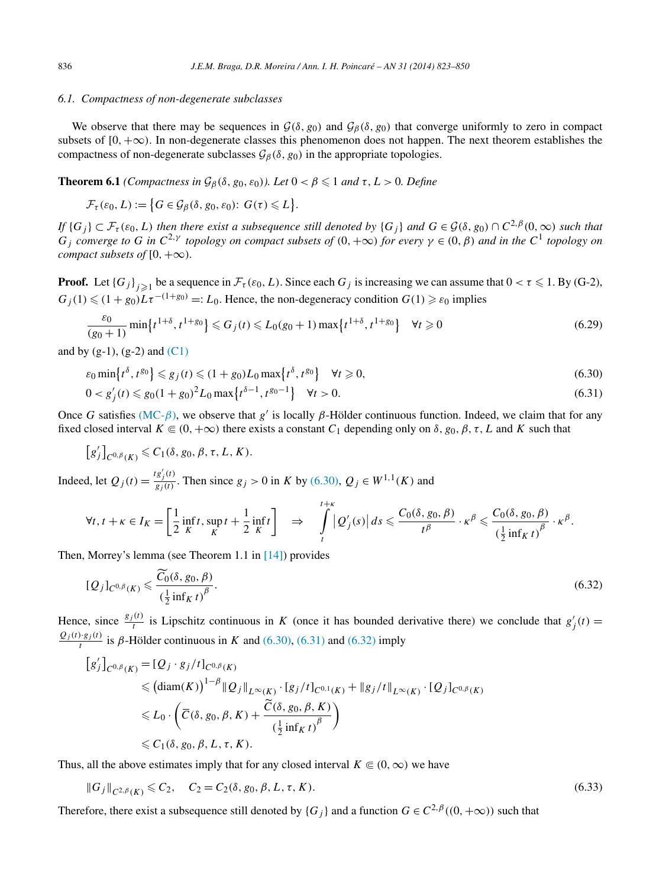## <span id="page-13-0"></span>*6.1. Compactness of non-degenerate subclasses*

We observe that there may be sequences in  $G(\delta, g_0)$  and  $G_\beta(\delta, g_0)$  that converge uniformly to zero in compact subsets of  $[0, +\infty)$ . In non-degenerate classes this phenomenon does not happen. The next theorem establishes the compactness of non-degenerate subclasses  $G_\beta(\delta, g_0)$  in the appropriate topologies.

**Theorem 6.1** *(Compactness in*  $\mathcal{G}_{\beta}(\delta, g_0, \varepsilon_0)$ *). Let*  $0 < \beta \leq 1$  *and*  $\tau$ *, L* > 0*. Define* 

$$
\mathcal{F}_{\tau}(\varepsilon_0, L) := \big\{ G \in \mathcal{G}_{\beta}(\delta, g_0, \varepsilon_0) : G(\tau) \leq L \big\}.
$$

*If*  $\{G_j\} \subset \mathcal{F}_{\tau}(\varepsilon_0, L)$  *then there exist a subsequence still denoted by*  $\{G_j\}$  *and*  $G \in \mathcal{G}(\delta, g_0) \cap C^{2,\beta}(0, \infty)$  *such that*  $G_i$  converge to G in  $C^{2,\gamma}$  topology on compact subsets of  $(0, +\infty)$  for every  $\gamma \in (0, \beta)$  and in the  $C^1$  topology on *compact subsets of*  $[0, +\infty)$ *.* 

**Proof.** Let  ${G_j}_{j\geqslant1}$  be a sequence in  $\mathcal{F}_{\tau}(\varepsilon_0, L)$ . Since each  $G_j$  is increasing we can assume that  $0 < \tau \leqslant 1$ . By (G-2),  $G_j(1) \leq (1 + g_0)L\tau^{-(1+g_0)} =: L_0$ . Hence, the non-degeneracy condition  $G(1) \geq \varepsilon_0$  implies

$$
\frac{\varepsilon_0}{(g_0+1)} \min\{t^{1+\delta}, t^{1+g_0}\} \le G_j(t) \le L_0(g_0+1) \max\{t^{1+\delta}, t^{1+g_0}\} \quad \forall t \ge 0
$$
\n(6.29)

and by  $(g-1)$ ,  $(g-2)$  and  $(C1)$ 

$$
\varepsilon_0 \min\{t^{\delta}, t^{g_0}\} \leqslant g_j(t) \leqslant (1+g_0)L_0 \max\{t^{\delta}, t^{g_0}\} \quad \forall t \geqslant 0,
$$
\n
$$
(6.30)
$$

$$
0 < g_j'(t) \leq g_0(1 + g_0)^2 L_0 \max\{t^{\delta - 1}, t^{g_0 - 1}\} \quad \forall t > 0. \tag{6.31}
$$

Once *G* satisfies [\(MC-](#page-3-0) $\beta$ ), we observe that  $g'$  is locally  $\beta$ -Hölder continuous function. Indeed, we claim that for any fixed closed interval  $K \subseteq (0, +\infty)$  there exists a constant  $C_1$  depending only on  $\delta, g_0, \beta, \tau, L$  and K such that

$$
[g'_j]_{C^{0,\beta}(K)} \leqslant C_1(\delta, g_0, \beta, \tau, L, K).
$$

Indeed, let  $Q_j(t) = \frac{tg'_j(t)}{g_j(t)}$ . Then since  $g_j > 0$  in *K* by (6.30),  $Q_j \in W^{1,1}(K)$  and

$$
\forall t, t + \kappa \in I_K = \left[\frac{1}{2}\inf_K t, \sup_K t + \frac{1}{2}\inf_K t\right] \quad \Rightarrow \quad \int\limits_t^{t+\kappa} |Q'_j(s)|\,ds \leqslant \frac{C_0(\delta, g_0, \beta)}{t^{\beta}} \cdot \kappa^{\beta} \leqslant \frac{C_0(\delta, g_0, \beta)}{\left(\frac{1}{2}\inf_K t\right)^{\beta}} \cdot \kappa^{\beta}.
$$

Then, Morrey's lemma (see Theorem 1.1 in [\[14\]\)](#page-27-0) provides

$$
[Q_j]_{C^{0,\beta}(K)} \leq \frac{\widetilde{C_0}(\delta, g_0, \beta)}{\left(\frac{1}{2} \inf_K t\right)^{\beta}}.
$$
\n
$$
(6.32)
$$

Hence, since  $\frac{g_j(t)}{t}$  is Lipschitz continuous in *K* (once it has bounded derivative there) we conclude that  $g'_j(t)$  $\frac{Q_j(t) \cdot g_j(t)}{t}$  is *β*-Hölder continuous in *K* and (6.30), (6.31) and (6.32) imply

$$
[g'_j]_{C^{0,\beta}(K)} = [Q_j \cdot g_j/t]_{C^{0,\beta}(K)}
$$
  
\n
$$
\leq (\text{diam}(K))^{1-\beta} ||Q_j||_{L^{\infty}(K)} \cdot [g_j/t]_{C^{0,1}(K)} + ||g_j/t||_{L^{\infty}(K)} \cdot [Q_j]_{C^{0,\beta}(K)}
$$
  
\n
$$
\leq L_0 \cdot \left( \overline{C}(\delta, g_0, \beta, K) + \frac{\widetilde{C}(\delta, g_0, \beta, K)}{(\frac{1}{2} \text{ inf}_K t)^{\beta}} \right)
$$
  
\n
$$
\leq C_1(\delta, g_0, \beta, L, \tau, K).
$$

Thus, all the above estimates imply that for any closed interval  $K \in (0, \infty)$  we have

$$
||G_j||_{C^{2,\beta}(K)} \leq C_2, \quad C_2 = C_2(\delta, g_0, \beta, L, \tau, K). \tag{6.33}
$$

Therefore, there exist a subsequence still denoted by  ${G_i}$  and a function  $G \in C^{2,\beta}((0, +\infty))$  such that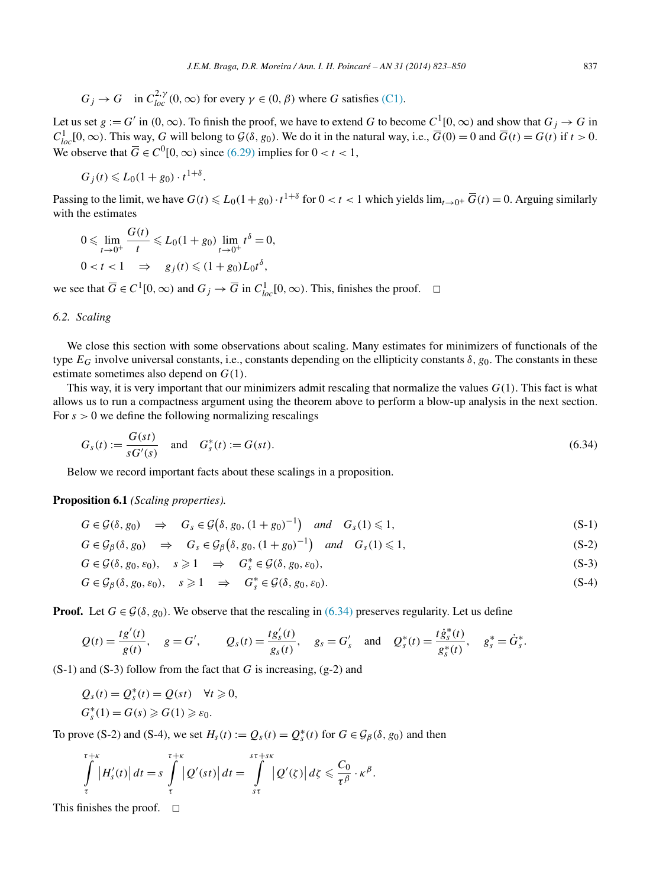<span id="page-14-0"></span>
$$
G_j \to G
$$
 in  $C_{loc}^{2,\gamma}(0,\infty)$  for every  $\gamma \in (0,\beta)$  where G satisfies (C1).

Let us set  $g := G'$  in  $(0, \infty)$ . To finish the proof, we have to extend *G* to become  $C^1[0, \infty)$  and show that  $G_j \to G$  in  $C_{loc}^1[0, \infty)$ . This way, *G* will belong to  $\mathcal{G}(\delta, g_0)$ . We do it in the natural way, i.e.,  $\overline{G}(0) = 0$  and  $\overline{G}(t) = G(t)$  if  $t > 0$ . We observe that  $\overline{G} \in C^0[0, \infty)$  since [\(6.29\)](#page-13-0) implies for  $0 < t < 1$ ,

$$
G_j(t) \leqslant L_0(1+g_0) \cdot t^{1+\delta}.
$$

Passing to the limit, we have  $G(t) \le L_0(1+g_0) \cdot t^{1+\delta}$  for  $0 < t < 1$  which yields  $\lim_{t \to 0^+} \overline{G}(t) = 0$ . Arguing similarly with the estimates

$$
0 \leqslant \lim_{t \to 0^+} \frac{G(t)}{t} \leqslant L_0 (1 + g_0) \lim_{t \to 0^+} t^{\delta} = 0,
$$
  

$$
0 < t < 1 \implies g_j(t) \leqslant (1 + g_0) L_0 t^{\delta},
$$

we see that  $\overline{G} \in C^1[0, \infty)$  and  $G_j \to \overline{G}$  in  $C^1_{loc}[0, \infty)$ . This, finishes the proof.  $\Box$ 

## *6.2. Scaling*

We close this section with some observations about scaling. Many estimates for minimizers of functionals of the type  $E_G$  involve universal constants, i.e., constants depending on the ellipticity constants  $\delta$ ,  $g_0$ . The constants in these estimate sometimes also depend on *G(*1*)*.

This way, it is very important that our minimizers admit rescaling that normalize the values *G(*1*)*. This fact is what allows us to run a compactness argument using the theorem above to perform a blow-up analysis in the next section. For  $s > 0$  we define the following normalizing rescalings

$$
G_s(t) := \frac{G(st)}{sG'(s)} \quad \text{and} \quad G_s^*(t) := G(st). \tag{6.34}
$$

Below we record important facts about these scalings in a proposition.

## **Proposition 6.1** *(Scaling properties).*

$$
G \in \mathcal{G}(\delta, g_0) \quad \Rightarrow \quad G_s \in \mathcal{G}(\delta, g_0, (1 + g_0)^{-1}) \quad \text{and} \quad G_s(1) \leq 1,\tag{S-1}
$$

$$
G \in \mathcal{G}_{\beta}(\delta, g_0) \quad \Rightarrow \quad G_s \in \mathcal{G}_{\beta}\big(\delta, g_0, (1+g_0)^{-1}\big) \quad \text{and} \quad G_s(1) \leq 1,\tag{S-2}
$$

$$
G \in \mathcal{G}(\delta, g_0, \varepsilon_0), \quad s \geq 1 \quad \Rightarrow \quad G_s^* \in \mathcal{G}(\delta, g_0, \varepsilon_0), \tag{S-3}
$$

$$
G \in \mathcal{G}_{\beta}(\delta, g_0, \varepsilon_0), \quad s \geqslant 1 \quad \Rightarrow \quad G_s^* \in \mathcal{G}(\delta, g_0, \varepsilon_0). \tag{S-4}
$$

**Proof.** Let  $G \in \mathcal{G}(\delta, g_0)$ . We observe that the rescaling in (6.34) preserves regularity. Let us define

$$
Q(t) = \frac{tg'(t)}{g(t)}, \quad g = G', \qquad Q_s(t) = \frac{tg'_s(t)}{g_s(t)}, \quad g_s = G'_s \quad \text{and} \quad Q_s^*(t) = \frac{t\dot{g}_s^*(t)}{g_s^*(t)}, \quad g_s^* = \dot{G}_s^*.
$$

(S-1) and (S-3) follow from the fact that *G* is increasing, (g-2) and

$$
Q_s(t) = Q_s^*(t) = Q(st) \quad \forall t \geq 0,
$$
  

$$
G_s^*(1) = G(s) \geq G(1) \geq \varepsilon_0.
$$

To prove (S-2) and (S-4), we set  $H_s(t) := Q_s(t) = Q_s^*(t)$  for  $G \in \mathcal{G}_{\beta}(\delta, g_0)$  and then

$$
\int_{\tau}^{\tau+\kappa} |H'_s(t)| dt = s \int_{\tau}^{\tau+\kappa} |Q'(st)| dt = \int_{st}^{\tau+s\kappa} |Q'(t)| d\zeta \leq \frac{C_0}{\tau^{\beta}} \cdot \kappa^{\beta}.
$$

This finishes the proof.  $\square$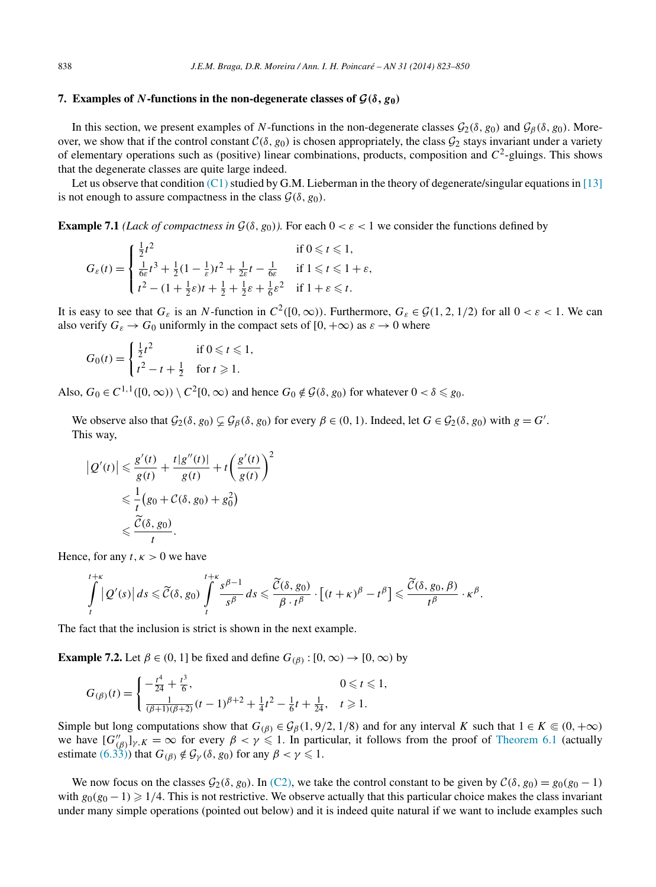#### <span id="page-15-0"></span>**7.** Examples of *N***-functions in the non-degenerate classes of**  $\mathcal{G}(\delta, g_0)$

In this section, we present examples of *N*-functions in the non-degenerate classes  $\mathcal{G}_2(\delta, g_0)$  and  $\mathcal{G}_B(\delta, g_0)$ . Moreover, we show that if the control constant  $C(\delta, g_0)$  is chosen appropriately, the class  $G_2$  stays invariant under a variety of elementary operations such as (positive) linear combinations, products, composition and *C*2-gluings. This shows that the degenerate classes are quite large indeed.

Let us observe that condition [\(C1\)](#page-1-0) studied by G.M. Lieberman in the theory of degenerate/singular equations in [\[13\]](#page-27-0) is not enough to assure compactness in the class  $G(\delta, g_0)$ .

**Example 7.1** *(Lack of compactness in*  $\mathcal{G}(\delta, g_0)$ ). For each  $0 < \varepsilon < 1$  we consider the functions defined by

$$
G_{\varepsilon}(t) = \begin{cases} \frac{1}{2}t^2 & \text{if } 0 \leq t \leq 1, \\ \frac{1}{6\varepsilon}t^3 + \frac{1}{2}(1 - \frac{1}{\varepsilon})t^2 + \frac{1}{2\varepsilon}t - \frac{1}{6\varepsilon} & \text{if } 1 \leq t \leq 1 + \varepsilon, \\ t^2 - (1 + \frac{1}{2}\varepsilon)t + \frac{1}{2} + \frac{1}{2}\varepsilon + \frac{1}{6}\varepsilon^2 & \text{if } 1 + \varepsilon \leq t. \end{cases}
$$

It is easy to see that  $G_{\varepsilon}$  is an *N*-function in  $C^2([0,\infty))$ . Furthermore,  $G_{\varepsilon} \in \mathcal{G}(1,2,1/2)$  for all  $0 < \varepsilon < 1$ . We can also verify  $G_{\varepsilon} \to G_0$  uniformly in the compact sets of  $[0, +\infty)$  as  $\varepsilon \to 0$  where

$$
G_0(t) = \begin{cases} \frac{1}{2}t^2 & \text{if } 0 \leqslant t \leqslant 1, \\ t^2 - t + \frac{1}{2} & \text{for } t \geqslant 1. \end{cases}
$$

Also,  $G_0 \in C^{1,1}([0,\infty)) \setminus C^2[0,\infty)$  and hence  $G_0 \notin \mathcal{G}(\delta, g_0)$  for whatever  $0 < \delta \leq g_0$ .

We observe also that  $G_2(\delta, g_0) \subsetneq G_\beta(\delta, g_0)$  for every  $\beta \in (0, 1)$ . Indeed, let  $G \in G_2(\delta, g_0)$  with  $g = G'$ . This way,

$$
|Q'(t)| \leq \frac{g'(t)}{g(t)} + \frac{t|g''(t)|}{g(t)} + t\left(\frac{g'(t)}{g(t)}\right)^2
$$
  

$$
\leq \frac{1}{t}(g_0 + C(\delta, g_0) + g_0^2)
$$
  

$$
\leq \frac{\widetilde{C}(\delta, g_0)}{t}.
$$

Hence, for any  $t, \kappa > 0$  we have

$$
\int\limits_t^{t+\kappa} \left| Q'(s) \right| ds \leqslant \widetilde{C}(\delta, g_0) \int\limits_t^{t+\kappa} \frac{s^{\beta-1}}{s^{\beta}} ds \leqslant \frac{\widetilde{C}(\delta, g_0)}{\beta \cdot t^{\beta}} \cdot \left[ (t+\kappa)^{\beta} - t^{\beta} \right] \leqslant \frac{\widetilde{C}(\delta, g_0, \beta)}{t^{\beta}} \cdot \kappa^{\beta}.
$$

The fact that the inclusion is strict is shown in the next example.

**Example 7.2.** Let  $\beta \in (0, 1]$  be fixed and define  $G_{(\beta)} : [0, \infty) \rightarrow [0, \infty)$  by

$$
G_{(\beta)}(t) = \begin{cases} -\frac{t^4}{24} + \frac{t^3}{6}, & 0 \leq t \leq 1, \\ \frac{1}{(\beta+1)(\beta+2)}(t-1)^{\beta+2} + \frac{1}{4}t^2 - \frac{1}{6}t + \frac{1}{24}, & t \geq 1. \end{cases}
$$

Simple but long computations show that  $G_{(\beta)} \in \mathcal{G}_{\beta}(1, 9/2, 1/8)$  and for any interval *K* such that  $1 \in K \subseteq (0, +\infty)$ we have  $[G''_{(\beta)}]_{\gamma,K} = \infty$  for every  $\beta < \gamma \leq 1$ . In particular, it follows from the proof of [Theorem 6.1](#page-13-0) (actually estimate [\(6.33\)\)](#page-13-0) that  $G_{(\beta)} \notin \mathcal{G}_{\gamma}(\delta, g_0)$  for any  $\beta < \gamma \leq 1$ .

We now focus on the classes  $G_2(\delta, g_0)$ . In [\(C2\),](#page-3-0) we take the control constant to be given by  $C(\delta, g_0) = g_0(g_0 - 1)$ with  $g_0(g_0 - 1) \geq 1/4$ . This is not restrictive. We observe actually that this particular choice makes the class invariant under many simple operations (pointed out below) and it is indeed quite natural if we want to include examples such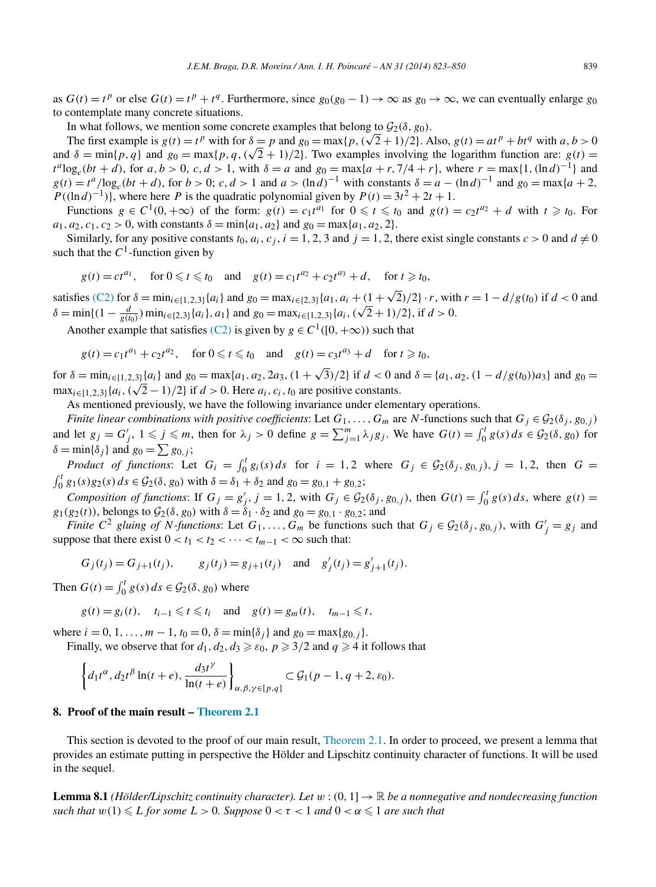<span id="page-16-0"></span>as  $G(t) = t^p$  or else  $G(t) = t^p + t^q$ . Furthermore, since  $g_0(g_0 - 1) \rightarrow \infty$  as  $g_0 \rightarrow \infty$ , we can eventually enlarge  $g_0$ to contemplate many concrete situations.

In what follows, we mention some concrete examples that belong to  $\mathcal{G}_2(\delta, g_0)$ .

The first example is  $g(t) = t^p$  with for  $\delta = p$  and  $g_0 = \max\{p, (\sqrt{2} + 1)/2\}$ . Also,  $g(t) = at^p + bt^q$  with  $a, b > 0$ and  $\delta = \min\{p, q\}$  and  $g_0 = \max\{p, q, (\sqrt{2} + 1)/2\}$ . Two examples involving the logarithm function are:  $g(t)$  $t^a \log_c(bt + d)$ , for *a, b* > 0, *c, d* > 1, with  $\delta = a$  and  $g_0 = \max\{a + r, 7/4 + r\}$ , where  $r = \max\{1, (\ln d)^{-1}\}\$ and  $g(t) = t^a / \log_c(bt + d)$ , for  $b > 0$ ; *c*,  $d > 1$  and  $a > (\ln d)^{-1}$  with constants  $\delta = a - (\ln d)^{-1}$  and  $g_0 = \max\{a + 2,$  $P((\ln d)^{-1})$ , where here *P* is the quadratic polynomial given by  $P(t) = 3t^2 + 2t + 1$ .

Functions  $g \in C^1(0, +\infty)$  of the form:  $g(t) = c_1 t^{a_1}$  for  $0 \le t \le t_0$  and  $g(t) = c_2 t^{a_2} + d$  with  $t \ge t_0$ . For  $a_1, a_2, c_1, c_2 > 0$ , with constants  $\delta = \min\{a_1, a_2\}$  and  $g_0 = \max\{a_1, a_2, 2\}$ .

Similarly, for any positive constants  $t_0$ ,  $a_i$ ,  $c_j$ ,  $i = 1, 2, 3$  and  $j = 1, 2$ , there exist single constants  $c > 0$  and  $d \neq 0$ such that the  $C<sup>1</sup>$ -function given by

 $g(t) = ct^{a_1}$ , for  $0 \le t \le t_0$  and  $g(t) = c_1 t^{a_2} + c_2 t^{a_3} + d$ , for  $t \ge t_0$ ,

satisfies [\(C2\)](#page-3-0) for  $\delta = \min_{i \in \{1,2,3\}} \{a_i\}$  and  $g_0 = \max_{i \in \{2,3\}} \{a_1, a_i + (1 + \sqrt{2})/2\} \cdot r$ , with  $r = 1 - d/g(t_0)$  if  $d < 0$  and  $\delta = \min\{(1 - \frac{d}{g(t_0)})\min_{i \in \{2,3\}}\{a_i\}, a_1\}$  and  $g_0 = \max_{i \in \{1,2,3\}}\{a_i, (\sqrt{2} + 1)/2\}, \text{if } d > 0.$ 

Another example that satisfies [\(C2\)](#page-3-0) is given by  $g \in C^1([0, +\infty))$  such that

$$
g(t) = c_1 t^{a_1} + c_2 t^{a_2}
$$
, for  $0 \le t \le t_0$  and  $g(t) = c_3 t^{a_3} + d$  for  $t \ge t_0$ ,

for  $\delta = \min_{i \in \{1,2,3\}} \{a_i\}$  and  $g_0 = \max\{a_1, a_2, 2a_3, (1 + \sqrt{3})/2\}$  if  $d < 0$  and  $\delta = \{a_1, a_2, (1 - d/g(t_0))a_3\}$  and  $g_0 =$  $\lim_{\delta \to 0} \sum_{i=1}^n a_i = \lim_{i \in \{1,2,3\}} \{a_i, (\sqrt{2}-1)/2\}$  if  $d > 0$ . Here  $a_i, c_i, t_0$  are positive constants.

As mentioned previously, we have the following invariance under elementary operations.

*Finite linear combinations with positive coefficients:* Let  $G_1, \ldots, G_m$  are *N*-functions such that  $G_j \in \mathcal{G}_2(\delta_j, g_{0,j})$ and let  $g_j = G'_j$ ,  $1 \leq j \leq m$ , then for  $\lambda_j > 0$  define  $g = \sum_{j=1}^m \lambda_j g_j$ . We have  $G(t) = \int_0^t g(s) ds \in \mathcal{G}_2(\delta, g_0)$  for  $\delta = \min\{\delta_j\}$  and  $g_0 = \sum g_{0,j}$ ;

*Product of functions*: Let  $G_i = \int_0^t g_i(s) ds$  for  $i = 1, 2$  where  $G_j \in \mathcal{G}_2(\delta_j, g_{0,j})$ ,  $j = 1, 2$ , then  $G = \int_0^t g_1(s) g_2(s) ds \in \mathcal{G}_2(\delta, g_0)$  with  $\delta = \delta_1 + \delta_2$  and  $g_0 = g_{0,1} + g_{0,2}$ ;  $\int_0^t g_1(s)g_2(s) ds \in \mathcal{G}_2(\delta, g_0)$  with  $\delta = \delta_1 + \delta_2$  and  $g_0 = g_{0,1} + g_{0,2}$ ;

*Composition of functions*: If  $G_j = g'_j$ ,  $j = 1, 2$ , with  $G_j \in \mathcal{G}_2(\delta_j, g_{0,j})$ , then  $G(t) = \int_0^t g(s) ds$ , where  $g(t) =$ *g*<sub>1</sub>(*g*<sub>2</sub>(*t*)), belongs to  $G_2(\delta, g_0)$  with  $\delta = \delta_1 \cdot \delta_2$  and  $g_0 = g_{0,1} \cdot g_{0,2}$ ; and

*Finite*  $C^2$  *gluing of N-functions*: Let  $G_1, \ldots, G_m$  be functions such that  $G_j \in \mathcal{G}_2(\delta_j, g_{0,j})$ , with  $G'_j = g_j$  and suppose that there exist  $0 < t_1 < t_2 < \cdots < t_{m-1} < \infty$  such that:

$$
G_j(t_j) = G_{j+1}(t_j),
$$
  $g_j(t_j) = g_{j+1}(t_j)$  and  $g'_j(t_j) = g'_{j+1}(t_j).$ 

Then  $G(t) = \int_0^t g(s) ds \in \mathcal{G}_2(\delta, g_0)$  where

$$
g(t) = g_i(t)
$$
,  $t_{i-1} \leq t \leq t_i$  and  $g(t) = g_m(t)$ ,  $t_{m-1} \leq t$ ,

where  $i = 0, 1, \ldots, m - 1, t_0 = 0, \delta = \min{\{\delta_i\}}$  and  $g_0 = \max\{g_{0,i}\}.$ 

Finally, we observe that for  $d_1, d_2, d_3 \ge \varepsilon_0$ ,  $p \ge 3/2$  and  $q \ge 4$  it follows that

$$
\left\{d_1t^{\alpha}, d_2t^{\beta}\ln(t+e), \frac{d_3t^{\gamma}}{\ln(t+e)}\right\}_{\alpha, \beta, \gamma \in [p,q]} \subset \mathcal{G}_1(p-1, q+2, \varepsilon_0).
$$

## **8. Proof of the main result – [Theorem 2.1](#page-4-0)**

This section is devoted to the proof of our main result, [Theorem 2.1.](#page-4-0) In order to proceed, we present a lemma that provides an estimate putting in perspective the Hölder and Lipschitz continuity character of functions. It will be used in the sequel.

**Lemma 8.1** *(Hölder/Lipschitz continuity character). Let*  $w$  :  $(0, 1] \rightarrow \mathbb{R}$  *be a nonnegative and nondecreasing function*  $\mathit{such that } w(1) \leqslant L \text{ for some } L > 0.$  Suppose  $0 < \tau < 1$  and  $0 < \alpha \leqslant 1$  are such that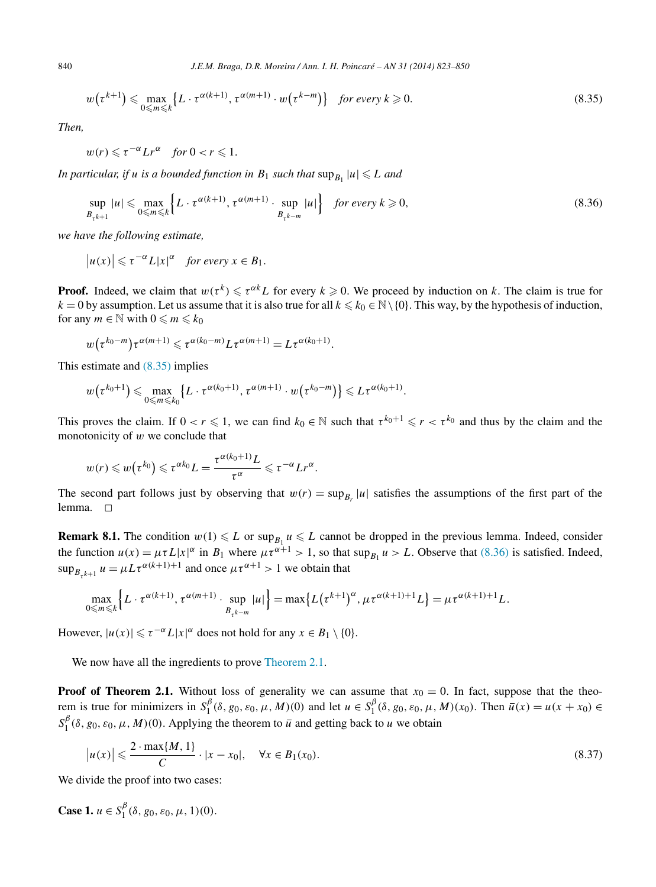$$
w(\tau^{k+1}) \leq \max_{0 \leq m \leq k} \{ L \cdot \tau^{\alpha(k+1)}, \tau^{\alpha(m+1)} \cdot w(\tau^{k-m}) \} \quad \text{for every } k \geq 0.
$$
 (8.35)

*Then,*

$$
w(r) \leqslant \tau^{-\alpha} Lr^{\alpha} \quad \text{for } 0 < r \leqslant 1.
$$

*In particular, if u is a bounded function in*  $B_1$  *such that*  $\sup_{B_1} |u| \leq L$  *and* 

$$
\sup_{B_{\tau^{k+1}}} |u| \le \max_{0 \le m \le k} \left\{ L \cdot \tau^{\alpha(k+1)}, \tau^{\alpha(m+1)} \cdot \sup_{B_{\tau^{k-m}}} |u| \right\} \quad \text{for every } k \ge 0,
$$
\n
$$
(8.36)
$$

*we have the following estimate,*

 $|u(x)| \le \tau^{-\alpha} L|x|^{\alpha}$  *for every*  $x \in B_1$ *.* 

**Proof.** Indeed, we claim that  $w(\tau^k) \le \tau^{\alpha k} L$  for every  $k \ge 0$ . We proceed by induction on k. The claim is true for  $k = 0$  by assumption. Let us assume that it is also true for all  $k \le k_0 \in \mathbb{N} \setminus \{0\}$ . This way, by the hypothesis of induction, for any  $m \in \mathbb{N}$  with  $0 \leq m \leq k_0$ 

$$
w(\tau^{k_0-m})\tau^{\alpha(m+1)} \leqslant \tau^{\alpha(k_0-m)}L\tau^{\alpha(m+1)} = L\tau^{\alpha(k_0+1)}.
$$

This estimate and (8.35) implies

$$
w(\tau^{k_0+1}) \leq \max_{0 \leq m \leq k_0} \{L \cdot \tau^{\alpha(k_0+1)}, \tau^{\alpha(m+1)} \cdot w(\tau^{k_0-m})\} \leq L \tau^{\alpha(k_0+1)}.
$$

This proves the claim. If  $0 < r \leq 1$ , we can find  $k_0 \in \mathbb{N}$  such that  $\tau^{k_0+1} \leq r < \tau^{k_0}$  and thus by the claim and the monotonicity of *w* we conclude that

$$
w(r) \leq w(\tau^{k_0}) \leq \tau^{\alpha k_0} L = \frac{\tau^{\alpha(k_0+1)}L}{\tau^{\alpha}} \leq \tau^{-\alpha} L r^{\alpha}.
$$

The second part follows just by observing that  $w(r) = \sup_{B_r} |u|$  satisfies the assumptions of the first part of the lemma.  $\square$ 

**Remark 8.1.** The condition  $w(1) \le L$  or  $\sup_{B_1} u \le L$  cannot be dropped in the previous lemma. Indeed, consider the function  $u(x) = \mu \tau L |x|^{\alpha}$  in  $B_1$  where  $\mu \tau^{\alpha+1} > 1$ , so that sup<sub> $B_1$ </sub>  $u > L$ . Observe that (8.36) is satisfied. Indeed,  $\sup_{B_{\tau^{k+1}}} u = \mu L \tau^{\alpha(k+1)+1}$  and once  $\mu \tau^{\alpha+1} > 1$  we obtain that

$$
\max_{0\leq m\leq k}\Big\{L\cdot\tau^{\alpha(k+1)},\tau^{\alpha(m+1)}\cdot\sup_{B_{\tau^{k-m}}}|u|\Big\}=\max\big\{L\big(\tau^{k+1}\big)^{\alpha},\mu\tau^{\alpha(k+1)+1}L\big\}=\mu\tau^{\alpha(k+1)+1}L.
$$

However,  $|u(x)| \le \tau^{-\alpha} L|x|^{\alpha}$  does not hold for any  $x \in B_1 \setminus \{0\}.$ 

We now have all the ingredients to prove [Theorem](#page-4-0) 2.1.

**Proof of Theorem 2.1.** Without loss of generality we can assume that  $x_0 = 0$ . In fact, suppose that the theorem is true for minimizers in  $S_1^{\beta}(\delta, g_0, \varepsilon_0, \mu, M)(0)$  and let  $u \in S_1^{\beta}(\delta, g_0, \varepsilon_0, \mu, M)(x_0)$ . Then  $\overline{u}(x) = u(x + x_0) \in$  $S_1^{\beta}$ ( $\delta$ ,  $g_0$ ,  $\varepsilon_0$ ,  $\mu$ , *M*)(0). Applying the theorem to  $\overline{u}$  and getting back to *u* we obtain

$$
|u(x)| \leqslant \frac{2 \cdot \max\{M, 1\}}{C} \cdot |x - x_0|, \quad \forall x \in B_1(x_0).
$$
\n(8.37)

We divide the proof into two cases:

**Case 1.**  $u \in S_1^{\beta}(\delta, g_0, \varepsilon_0, \mu, 1)(0)$ .

<span id="page-17-0"></span>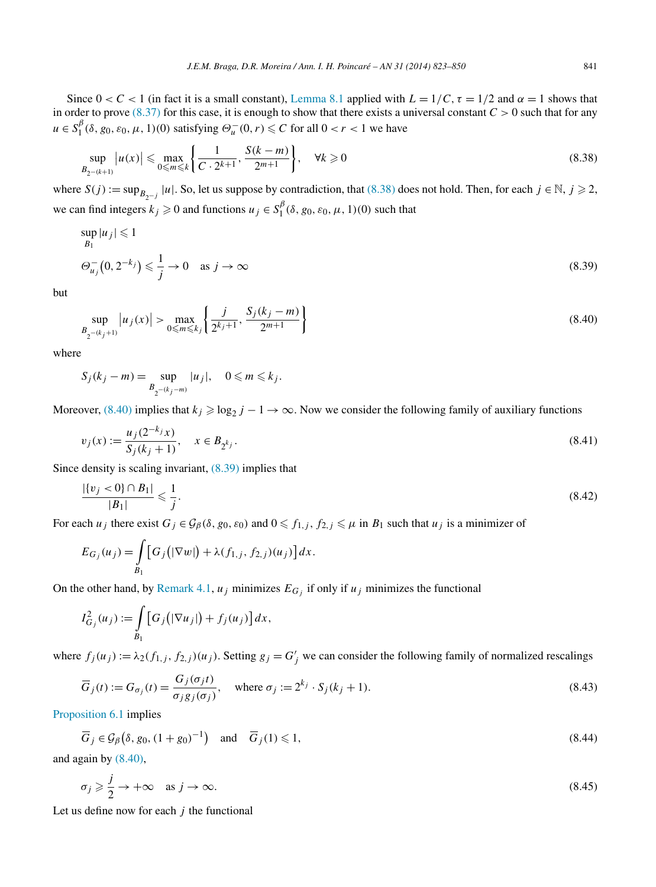<span id="page-18-0"></span>Since  $0 < C < 1$  (in fact it is a small constant), [Lemma 8.1](#page-16-0) applied with  $L = 1/C$ ,  $\tau = 1/2$  and  $\alpha = 1$  shows that in order to prove  $(8.37)$  for this case, it is enough to show that there exists a universal constant  $C > 0$  such that for any  $u \in S_1^{\beta}(\delta, g_0, \varepsilon_0, \mu, 1)$  (0) satisfying  $\Theta_u^-(0, r) \leq C$  for all  $0 < r < 1$  we have

$$
\sup_{B_{2^{-(k+1)}}} |u(x)| \le \max_{0 \le m \le k} \left\{ \frac{1}{C \cdot 2^{k+1}}, \frac{S(k-m)}{2^{m+1}} \right\}, \quad \forall k \ge 0 \tag{8.38}
$$

where  $S(j) := \sup_{B_{2-j}} |u|$ . So, let us suppose by contradiction, that (8.38) does not hold. Then, for each  $j \in \mathbb{N}$ ,  $j \ge 2$ , we can find integers  $k_j \ge 0$  and functions  $u_j \in S_1^{\beta}(\delta, g_0, \varepsilon_0, \mu, 1)(0)$  such that

$$
\sup_{B_1} |u_j| \leq 1
$$
  
\n
$$
\Theta_{u_j}^-(0, 2^{-k_j}) \leq \frac{1}{j} \to 0 \quad \text{as } j \to \infty
$$
\n(8.39)

but

$$
\sup_{B_{2^{-(k_{j}+1)}}} |u_{j}(x)| > \max_{0 \le m \le k_{j}} \left\{ \frac{j}{2^{k_{j}+1}}, \frac{S_{j}(k_{j}-m)}{2^{m+1}} \right\}
$$
(8.40)

where

$$
S_j(k_j - m) = \sup_{B_{2^{-(k_j-m)}}} |u_j|, \quad 0 \le m \le k_j.
$$

Moreover, (8.40) implies that  $k_j \geq \log_2 j - 1 \to \infty$ . Now we consider the following family of auxiliary functions

$$
v_j(x) := \frac{u_j(2^{-k_j}x)}{S_j(k_j+1)}, \quad x \in B_{2^{k_j}}.\tag{8.41}
$$

Since density is scaling invariant, (8.39) implies that

$$
\frac{|\{v_j < 0\} \cap B_1|}{|B_1|} \leqslant \frac{1}{j}.\tag{8.42}
$$

For each  $u_j$  there exist  $G_j \in \mathcal{G}_{\beta}(\delta, g_0, \varepsilon_0)$  and  $0 \leq f_{1,j}$ ,  $f_{2,j} \leq \mu$  in  $B_1$  such that  $u_j$  is a minimizer of

$$
E_{G_j}(u_j) = \int_{B_1} \left[ G_j(|\nabla w|) + \lambda(f_{1,j}, f_{2,j})(u_j) \right] dx.
$$

On the other hand, by [Remark 4.1,](#page-8-0)  $u_j$  minimizes  $E_{G_j}$  if only if  $u_j$  minimizes the functional

$$
I_{G_j}^2(u_j) := \int\limits_{B_1} \big[G_j\big(|\nabla u_j|\big) + f_j(u_j)\big]dx,
$$

where  $f_j(u_j) := \lambda_2(f_{1,j}, f_{2,j})(u_j)$ . Setting  $g_j = G'_j$  we can consider the following family of normalized rescalings

$$
\overline{G}_j(t) := G_{\sigma_j}(t) = \frac{G_j(\sigma_j t)}{\sigma_j g_j(\sigma_j)}, \quad \text{where } \sigma_j := 2^{k_j} \cdot S_j(k_j + 1). \tag{8.43}
$$

[Proposition 6.1](#page-14-0) implies

$$
\overline{G}_j \in \mathcal{G}_{\beta}\big(\delta, g_0, (1+g_0)^{-1}\big) \quad \text{and} \quad \overline{G}_j(1) \leq 1,\tag{8.44}
$$

and again by (8.40),

$$
\sigma_j \geq \frac{j}{2} \to +\infty \quad \text{as } j \to \infty. \tag{8.45}
$$

Let us define now for each *j* the functional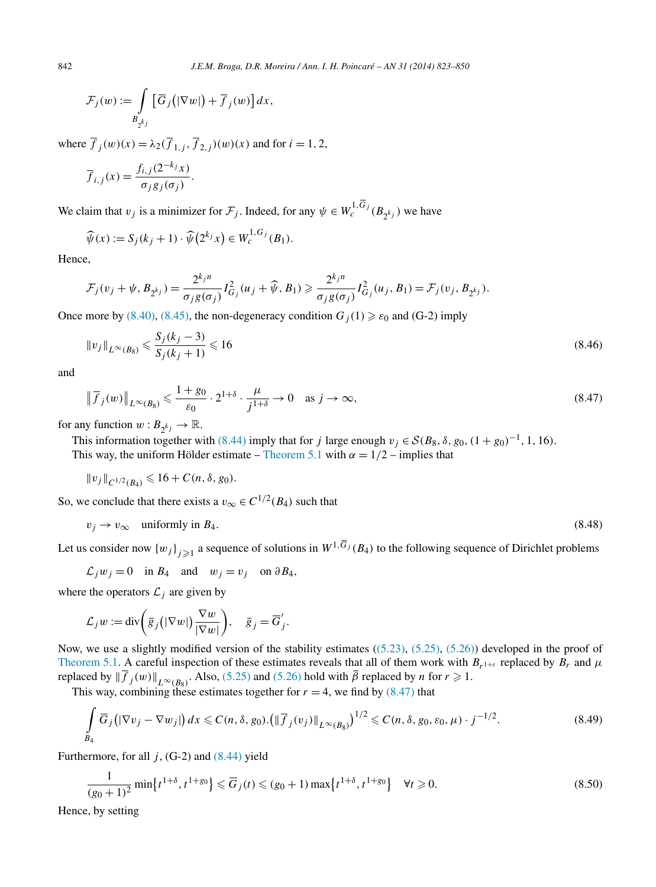<span id="page-19-0"></span>
$$
\mathcal{F}_j(w) := \int\limits_{B_{2^{k_j}}} \left[ \overline{G}_j\big(|\nabla w|\big) + \overline{f}_j(w)\right] dx,
$$

where  $\overline{f}_j(w)(x) = \lambda_2(\overline{f}_{1,j}, \overline{f}_{2,j})(w)(x)$  and for  $i = 1, 2$ ,

$$
\overline{f}_{i,j}(x) = \frac{f_{i,j}(2^{-k_j}x)}{\sigma_j g_j(\sigma_j)}.
$$

We claim that  $v_j$  is a minimizer for  $\mathcal{F}_j$ . Indeed, for any  $\psi \in W_c^{1, G_j}(B_{2^{k_j}})$  we have

$$
\widehat{\psi}(x) := S_j(k_j + 1) \cdot \widehat{\psi}\left(2^{k_j} x\right) \in W_c^{1, G_j}(B_1).
$$

Hence,

$$
\mathcal{F}_j(v_j + \psi, B_{2^{k_j}}) = \frac{2^{k_j n}}{\sigma_j g(\sigma_j)} I_{G_j}^2(u_j + \widehat{\psi}, B_1) \geq \frac{2^{k_j n}}{\sigma_j g(\sigma_j)} I_{G_j}^2(u_j, B_1) = \mathcal{F}_j(v_j, B_{2^{k_j}}).
$$

Once more by [\(8.40\),](#page-18-0) [\(8.45\),](#page-18-0) the non-degeneracy condition  $G_i(1) \geq \varepsilon_0$  and (G-2) imply

$$
||v_j||_{L^{\infty}(B_8)} \leqslant \frac{S_j(k_j - 3)}{S_j(k_j + 1)} \leqslant 16
$$
\n(8.46)

and

$$
\|\overline{f}_j(w)\|_{L^{\infty}(B_8)} \leq \frac{1+g_0}{\varepsilon_0} \cdot 2^{1+\delta} \cdot \frac{\mu}{j^{1+\delta}} \to 0 \quad \text{as } j \to \infty,
$$
\n(8.47)

for any function  $w: B_{2^{k_j}} \to \mathbb{R}$ .

This information together with [\(8.44\)](#page-18-0) imply that for *j* large enough  $v_j \in S(B_8, \delta, g_0, (1 + g_0)^{-1}, 1, 16)$ . This way, the uniform Hölder estimate – [Theorem](#page-9-0) 5.1 with  $\alpha = 1/2$  – implies that

$$
||v_j||_{C^{1/2}(B_4)} \leq 16 + C(n, \delta, g_0).
$$

So, we conclude that there exists a  $v_{\infty} \in C^{1/2}(B_4)$  such that

$$
v_j \to v_\infty \quad \text{uniformly in } B_4. \tag{8.48}
$$

Let us consider now  $\{w_j\}_{j\geq 1}$  a sequence of solutions in  $W^{1,\overline{G}_j}(B_4)$  to the following sequence of Dirichlet problems

$$
\mathcal{L}_j w_j = 0
$$
 in  $B_4$  and  $w_j = v_j$  on  $\partial B_4$ ,

where the operators  $\mathcal{L}_i$  are given by

$$
\mathcal{L}_j w := \mathrm{div} \bigg( \overline{g}_j (|\nabla w|) \frac{\nabla w}{|\nabla w|} \bigg), \quad \overline{g}_j = \overline{G}'_j.
$$

Now, we use a slightly modified version of the stability estimates  $((5.23), (5.25), (5.26))$  $((5.23), (5.25), (5.26))$  $((5.23), (5.25), (5.26))$  $((5.23), (5.25), (5.26))$  $((5.23), (5.25), (5.26))$  developed in the proof of [Theorem 5.1.](#page-9-0) A careful inspection of these estimates reveals that all of them work with  $B_{r^{1+\epsilon}}$  replaced by  $B_r$  and  $\mu$ replaced by  $\|\overline{f}_j(w)\|_{L^{\infty}(B_8)}$ . Also, [\(5.25\)](#page-10-0) and [\(5.26\)](#page-11-0) hold with  $\overline{\beta}$  replaced by *n* for  $r \ge 1$ .

This way, combining these estimates together for  $r = 4$ , we find by (8.47) that

$$
\int\limits_{B_4} \overline{G}_j \big( |\nabla v_j - \nabla w_j| \big) dx \leqslant C(n, \delta, g_0). \big( \|\overline{f}_j(v_j)\|_{L^\infty(B_8)} \big)^{1/2} \leqslant C(n, \delta, g_0, \varepsilon_0, \mu) \cdot j^{-1/2}.
$$
\n
$$
(8.49)
$$

Furthermore, for all  $j$ , (G-2) and  $(8.44)$  yield

$$
\frac{1}{(g_0+1)^2} \min\{t^{1+\delta}, t^{1+g_0}\} \leq \overline{G}_j(t) \leq (g_0+1) \max\{t^{1+\delta}, t^{1+g_0}\} \quad \forall t \geq 0.
$$
\n(8.50)

Hence, by setting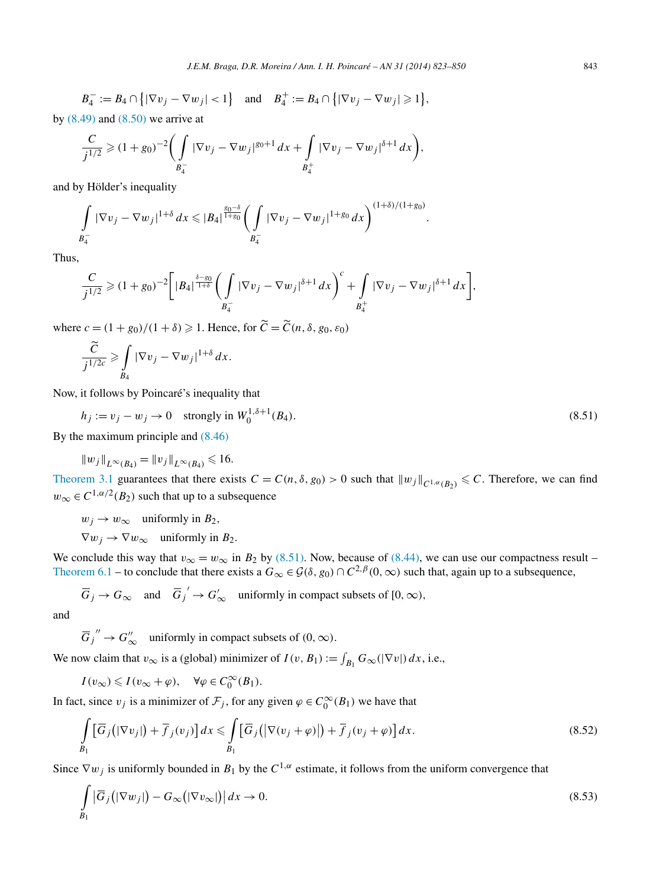<span id="page-20-0"></span>by  $(8.49)$  and  $(8.50)$  we arrive at

$$
\frac{C}{j^{1/2}} \geq (1+g_0)^{-2} \bigg( \int\limits_{B_4^-} |\nabla v_j - \nabla w_j|^{g_0+1} \, dx + \int\limits_{B_4^+} |\nabla v_j - \nabla w_j|^{g_0+1} \, dx \bigg),
$$

and by Hölder's inequality

$$
\int_{B_4^-} |\nabla v_j - \nabla w_j|^{1+\delta} dx \leqslant |B_4|^{\frac{g_0-\delta}{1+g_0}} \left( \int_{B_4^-} |\nabla v_j - \nabla w_j|^{1+g_0} dx \right)^{(1+\delta)/(1+g_0)}.
$$

Thus,

$$
\frac{C}{j^{1/2}} \geq (1+g_0)^{-2} \bigg[ |B_4|^{\frac{\delta - g_0}{1+\delta}} \bigg( \int_{B_4^-} |\nabla v_j - \nabla w_j|^{\delta + 1} dx \bigg)^c + \int_{B_4^+} |\nabla v_j - \nabla w_j|^{\delta + 1} dx \bigg],
$$

where  $c = (1 + g_0)/(1 + \delta) \ge 1$ . Hence, for  $\tilde{C} = \tilde{C}(n, \delta, g_0, \epsilon_0)$ 

$$
\frac{\widetilde{C}}{j^{1/2c}} \geqslant \int\limits_{B_4} |\nabla v_j - \nabla w_j|^{1+\delta} \, dx.
$$

Now, it follows by Poincaré's inequality that

$$
h_j := v_j - w_j \to 0 \quad \text{strongly in } W_0^{1, \delta + 1}(B_4). \tag{8.51}
$$

By the maximum principle and [\(8.46\)](#page-19-0)

$$
||w_j||_{L^{\infty}(B_4)} = ||v_j||_{L^{\infty}(B_4)} \le 16.
$$

[Theorem 3.1](#page-6-0) guarantees that there exists  $C = C(n, \delta, g_0) > 0$  such that  $||w_j||_{C^{1, \alpha}(B_2)} \leq C$ . Therefore, we can find  $w_{\infty} \in C^{1, \alpha/2}(B_2)$  such that up to a subsequence

 $w_i \rightarrow w_\infty$  uniformly in  $B_2$ ,  $\nabla w_i \rightarrow \nabla w_\infty$  uniformly in  $B_2$ .

We conclude this way that  $v_{\infty} = w_{\infty}$  in  $B_2$  by (8.51). Now, because of [\(8.44\),](#page-18-0) we can use our compactness result – [Theorem 6.1](#page-13-0) – to conclude that there exists a  $G_{\infty} \in \mathcal{G}(\delta, g_0) \cap C^{2,\beta}(0, \infty)$  such that, again up to a subsequence,

 $\overline{G}_j \to G_\infty$  and  $\overline{G}_j' \to G'_\infty$  uniformly in compact subsets of  $[0, \infty)$ ,

and

 $\overline{G}_j'' \to G''_{\infty}$  uniformly in compact subsets of  $(0, \infty)$ .

We now claim that  $v_{\infty}$  is a (global) minimizer of  $I(v, B_1) := \int_{B_1} G_{\infty}(|\nabla v|) dx$ , i.e.,

$$
I(v_{\infty}) \leqslant I(v_{\infty} + \varphi), \quad \forall \varphi \in C_0^{\infty}(B_1).
$$

In fact, since  $v_j$  is a minimizer of  $\mathcal{F}_j$ , for any given  $\varphi \in C_0^{\infty}(B_1)$  we have that

$$
\int_{B_1} \left[ \overline{G}_j \left( |\nabla v_j| \right) + \overline{f}_j(v_j) \right] dx \leq \int_{B_1} \left[ \overline{G}_j \left( |\nabla (v_j + \varphi)| \right) + \overline{f}_j(v_j + \varphi) \right] dx.
$$
\n(8.52)

Since  $\nabla w_j$  is uniformly bounded in  $B_1$  by the  $C^{1,\alpha}$  estimate, it follows from the uniform convergence that

$$
\int_{B_1} \left| \overline{G}_j \left( |\nabla w_j| \right) - G_\infty \left( |\nabla v_\infty| \right) \right| dx \to 0. \tag{8.53}
$$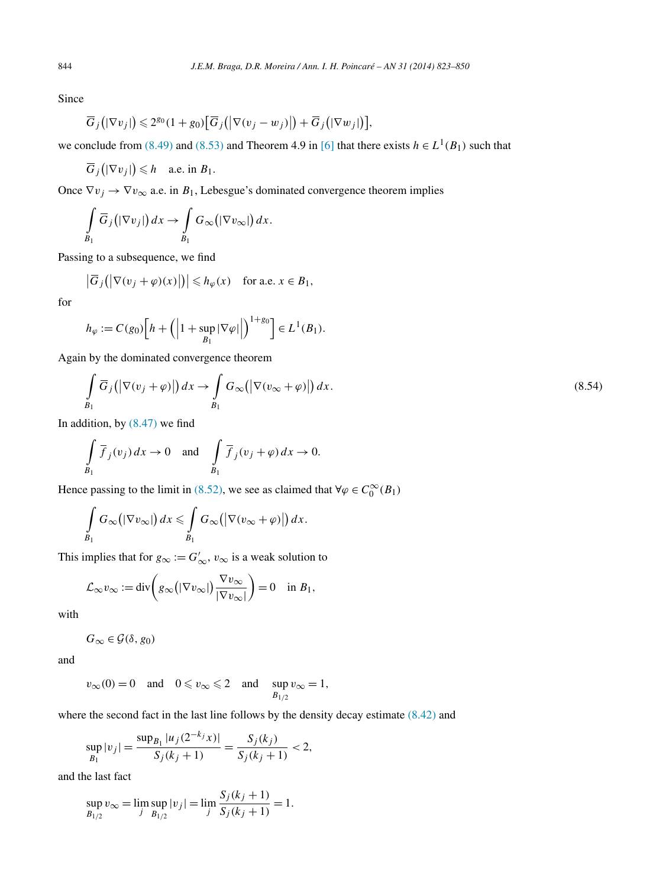Since

$$
\overline{G}_j(|\nabla v_j|) \leq 2^{g_0}(1+g_0)\big[\overline{G}_j(|\nabla (v_j-w_j)|\big)+\overline{G}_j(|\nabla w_j|)\big],
$$

we conclude from [\(8.49\)](#page-19-0) and [\(8.53\)](#page-20-0) and Theorem 4.9 in [\[6\]](#page-27-0) that there exists  $h \in L^1(B_1)$  such that

$$
\overline{G}_j(|\nabla v_j|) \leq h \quad \text{a.e. in } B_1.
$$

Once  $\nabla v_j \to \nabla v_\infty$  a.e. in  $B_1$ , Lebesgue's dominated convergence theorem implies

$$
\int\limits_{B_1} \overline{G}_j(|\nabla v_j|) dx \to \int\limits_{B_1} G_{\infty}(|\nabla v_{\infty}|) dx.
$$

Passing to a subsequence, we find

$$
\left|\overline{G}_j\big(\big|\nabla(v_j+\varphi)(x)\big|\big)\right| \leq h_\varphi(x) \quad \text{for a.e. } x \in B_1,
$$

for

$$
h_{\varphi} := C(g_0) \Big[ h + \left( \Big| 1 + \sup_{B_1} |\nabla \varphi| \Big| \right)^{1 + g_0} \Big] \in L^1(B_1).
$$

Again by the dominated convergence theorem

$$
\int_{B_1} \overline{G}_j(|\nabla(v_j + \varphi)|) dx \to \int_{B_1} G_{\infty}(|\nabla(v_{\infty} + \varphi)|) dx.
$$
\n(8.54)

In addition, by  $(8.47)$  we find

$$
\int\limits_{B_1} \overline{f}_j(v_j) dx \to 0 \quad \text{and} \quad \int\limits_{B_1} \overline{f}_j(v_j + \varphi) dx \to 0.
$$

Hence passing to the limit in [\(8.52\),](#page-20-0) we see as claimed that  $\forall \varphi \in C_0^{\infty}(B_1)$ 

$$
\int\limits_{B_1} G_{\infty}(|\nabla v_{\infty}|) dx \leq \int\limits_{B_1} G_{\infty}(|\nabla (v_{\infty} + \varphi)|) dx.
$$

This implies that for  $g_{\infty} := G'_{\infty}, v_{\infty}$  is a weak solution to

$$
\mathcal{L}_{\infty} v_{\infty} := \text{div}\bigg(g_{\infty}\big(|\nabla v_{\infty}|\big)\frac{\nabla v_{\infty}}{|\nabla v_{\infty}|}\bigg) = 0 \quad \text{in } B_1,
$$

with

$$
G_{\infty} \in \mathcal{G}(\delta, g_0)
$$

and

$$
v_{\infty}(0) = 0
$$
 and  $0 \le v_{\infty} \le 2$  and  $\sup_{B_{1/2}} v_{\infty} = 1$ ,

where the second fact in the last line follows by the density decay estimate  $(8.42)$  and

$$
\sup_{B_1}|v_j| = \frac{\sup_{B_1}|u_j(2^{-k_j}x)|}{S_j(k_j+1)} = \frac{S_j(k_j)}{S_j(k_j+1)} < 2,
$$

and the last fact

$$
\sup_{B_{1/2}} v_{\infty} = \lim_{j} \sup_{B_{1/2}} |v_j| = \lim_{j} \frac{S_j(k_j + 1)}{S_j(k_j + 1)} = 1.
$$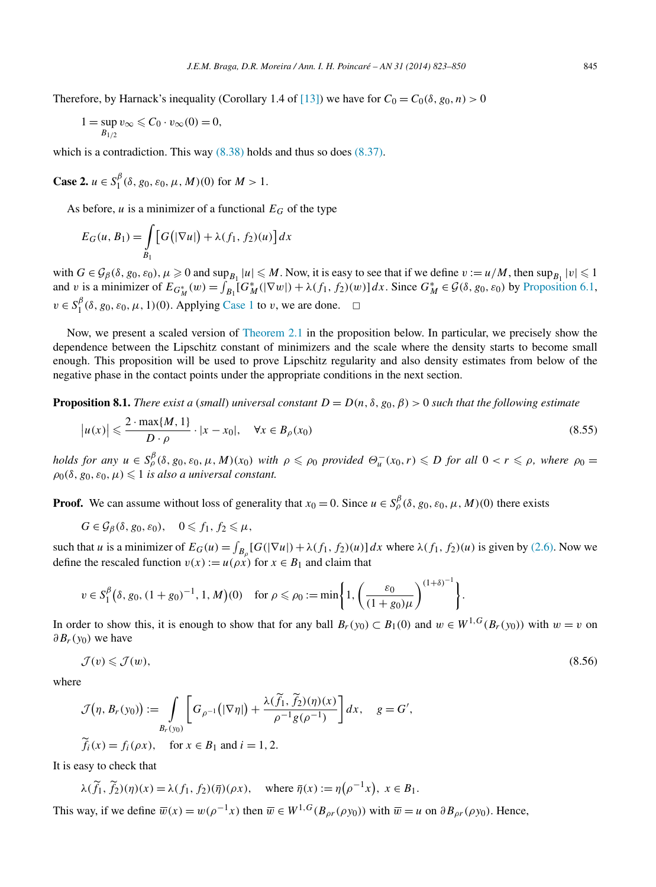<span id="page-22-0"></span>Therefore, by Harnack's inequality (Corollary 1.4 of [\[13\]\)](#page-27-0) we have for  $C_0 = C_0(\delta, g_0, n) > 0$ 

$$
1 = \sup_{B_{1/2}} v_{\infty} \leqslant C_0 \cdot v_{\infty}(0) = 0,
$$

which is a contradiction. This way  $(8.38)$  holds and thus so does  $(8.37)$ .

**Case 2.** 
$$
u \in S_1^{\beta}(\delta, g_0, \varepsilon_0, \mu, M)(0)
$$
 for  $M > 1$ .

As before,  $u$  is a minimizer of a functional  $E_G$  of the type

$$
E_G(u, B_1) = \int\limits_{B_1} \left[ G\big(|\nabla u|\big) + \lambda(f_1, f_2)(u) \right] dx
$$

with  $G \in \mathcal{G}_{\beta}(\delta, g_0, \varepsilon_0), \mu \ge 0$  and  $\sup_{B_1} |u| \le M$ . Now, it is easy to see that if we define  $v := u/M$ , then  $\sup_{B_1} |v| \le 1$ and v is a minimizer of  $E_{G_M^*}(w) = \int_{B_1} [G_M^*(|\nabla w|) + \lambda(f_1, f_2)(w)] dx$ . Since  $G_M^* \in \mathcal{G}(\delta, g_0, \varepsilon_0)$  by [Proposition 6.1,](#page-14-0)  $v \in S_1^{\beta}(\delta, g_0, \varepsilon_0, \mu, 1)(0)$ . Applying [Case 1](#page-17-0) to *v*, we are done.  $\Box$ 

Now, we present a scaled version of [Theorem](#page-4-0) 2.1 in the proposition below. In particular, we precisely show the dependence between the Lipschitz constant of minimizers and the scale where the density starts to become small enough. This proposition will be used to prove Lipschitz regularity and also density estimates from below of the negative phase in the contact points under the appropriate conditions in the next section.

**Proposition 8.1.** *There exist a* (*small*) *universal constant*  $D = D(n, \delta, g_0, \beta) > 0$  *such that the following estimate* 

$$
|u(x)| \leqslant \frac{2 \cdot \max\{M, 1\}}{D \cdot \rho} \cdot |x - x_0|, \quad \forall x \in B_\rho(x_0)
$$
\n
$$
(8.55)
$$

holds for any  $u \in S_\rho^\beta(\delta, g_0, \varepsilon_0, \mu, M)(x_0)$  with  $\rho \leqslant \rho_0$  provided  $\Theta_u^-(x_0, r) \leqslant D$  for all  $0 < r \leqslant \rho$ , where  $\rho_0 =$  $\rho_0(\delta, g_0, \varepsilon_0, \mu) \leqslant 1$  *is also a universal constant.* 

**Proof.** We can assume without loss of generality that  $x_0 = 0$ . Since  $u \in S_\rho^\beta(\delta, g_0, \varepsilon_0, \mu, M)(0)$  there exists

$$
G\in\mathcal{G}_{\beta}(\delta,g_0,\varepsilon_0),\quad 0\leqslant f_1,f_2\leqslant\mu,
$$

such that *u* is a minimizer of  $E_G(u) = \int_{B_\rho}[G(|\nabla u|) + \lambda(f_1, f_2)(u)]dx$  where  $\lambda(f_1, f_2)(u)$  is given by [\(2.6\).](#page-3-0) Now we define the rescaled function  $v(x) := u(\rho x)$  for  $x \in B_1$  and claim that

$$
v \in S_1^{\beta}(\delta, g_0, (1+g_0)^{-1}, 1, M)(0) \quad \text{for } \rho \leq \rho_0 := \min\left\{1, \left(\frac{\varepsilon_0}{(1+g_0)\mu}\right)^{(1+\delta)^{-1}}\right\}.
$$

In order to show this, it is enough to show that for any ball  $B_r(y_0) \subset B_1(0)$  and  $w \in W^{1,G}(B_r(y_0))$  with  $w = v$  on *∂Br(y*0*)* we have

$$
\mathcal{J}(v) \leqslant \mathcal{J}(w),\tag{8.56}
$$

where

$$
\mathcal{J}(\eta, B_r(y_0)) := \int\limits_{B_r(y_0)} \left[ G_{\rho^{-1}}\left(|\nabla \eta|\right) + \frac{\lambda(\widetilde{f}_1, \widetilde{f}_2)(\eta)(x)}{\rho^{-1}g(\rho^{-1})} \right] dx, \quad g = G',
$$
  

$$
\widetilde{f}_i(x) = f_i(\rho x), \quad \text{for } x \in B_1 \text{ and } i = 1, 2.
$$

It is easy to check that

$$
\lambda(\widetilde{f}_1, \widetilde{f}_2)(\eta)(x) = \lambda(f_1, f_2)(\overline{\eta})(\rho x), \quad \text{where } \overline{\eta}(x) := \eta(\rho^{-1}x), \ x \in B_1.
$$

This way, if we define  $\overline{w}(x) = w(\rho^{-1}x)$  then  $\overline{w} \in W^{1,G}(B_{\rho r}(\rho y_0))$  with  $\overline{w} = u$  on  $\partial B_{\rho r}(\rho y_0)$ . Hence,

 $\mathbb{Z}^{\mathbb{Z}}$  ,  $\mathbb{Z}^{\mathbb{Z}}$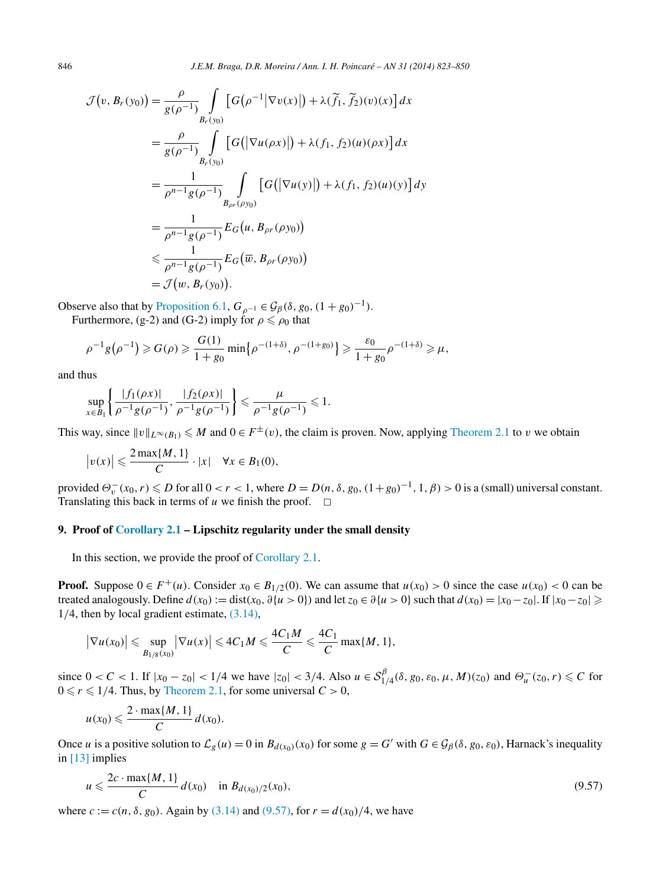$$
\mathcal{J}(v, B_r(y_0)) = \frac{\rho}{g(\rho^{-1})} \int_{B_r(y_0)} \left[ G(\rho^{-1} |\nabla v(x)|) + \lambda(\tilde{f}_1, \tilde{f}_2)(v)(x) \right] dx
$$
  
\n
$$
= \frac{\rho}{g(\rho^{-1})} \int_{B_r(y_0)} \left[ G(|\nabla u(\rho x)|) + \lambda(f_1, f_2)(u)(\rho x) \right] dx
$$
  
\n
$$
= \frac{1}{\rho^{n-1} g(\rho^{-1})} \int_{B_{\rho r}(\rho y_0)} \left[ G(|\nabla u(y)|) + \lambda(f_1, f_2)(u)(y) \right] dy
$$
  
\n
$$
= \frac{1}{\rho^{n-1} g(\rho^{-1})} E_G(u, B_{\rho r}(\rho y_0))
$$
  
\n
$$
\leq \frac{1}{\rho^{n-1} g(\rho^{-1})} E_G(\overline{w}, B_{\rho r}(\rho y_0))
$$
  
\n
$$
= \mathcal{J}(w, B_r(y_0)).
$$

Observe also that by [Proposition 6.1,](#page-14-0)  $G_{\rho^{-1}} \in \mathcal{G}_{\beta}(\delta, g_0, (1 + g_0)^{-1})$ . Furthermore, (g-2) and (G-2) imply for  $\rho \le \rho_0$  that

$$
\rho^{-1}g(\rho^{-1})\geq G(\rho)\geq \frac{G(1)}{1+g_0}\min\{\rho^{-(1+\delta)},\rho^{-(1+g_0)}\}\geq \frac{\varepsilon_0}{1+g_0}\rho^{-(1+\delta)}\geq \mu,
$$

and thus

$$
\sup_{x \in B_1} \left\{ \frac{|f_1(\rho x)|}{\rho^{-1} g(\rho^{-1})}, \frac{|f_2(\rho x)|}{\rho^{-1} g(\rho^{-1})} \right\} \leq \frac{\mu}{\rho^{-1} g(\rho^{-1})} \leq 1.
$$

This way, since  $\|v\|_{L^{\infty}(B_1)} \le M$  and  $0 \in F^{\pm}(v)$ , the claim is proven. Now, applying [Theorem 2.1](#page-4-0) to *v* we obtain

$$
|v(x)| \leqslant \frac{2\max\{M, 1\}}{C} \cdot |x| \quad \forall x \in B_1(0),
$$

provided  $\Theta_v^-(x_0, r) \le D$  for all  $0 < r < 1$ , where  $D = D(n, \delta, g_0, (1+g_0)^{-1}, 1, \beta) > 0$  is a (small) universal constant. Translating this back in terms of  $u$  we finish the proof.  $\Box$ 

## **9. Proof of [Corollary 2.1](#page-4-0) – Lipschitz regularity under the small density**

In this section, we provide the proof of [Corollary 2.1.](#page-4-0)

**Proof.** Suppose  $0 \in F^+(u)$ . Consider  $x_0 \in B_{1/2}(0)$ . We can assume that  $u(x_0) > 0$  since the case  $u(x_0) < 0$  can be treated analogously. Define  $d(x_0) := dist(x_0, \partial \{u > 0\})$  and let  $z_0 \in \partial \{u > 0\}$  such that  $d(x_0) = |x_0 - z_0|$ . If  $|x_0 - z_0| \ge$ 1*/*4, then by local gradient estimate, [\(3.14\),](#page-6-0)

$$
\left|\nabla u(x_0)\right| \leqslant \sup_{B_{1/8}(x_0)} \left|\nabla u(x)\right| \leqslant 4C_1 M \leqslant \frac{4C_1 M}{C} \leqslant \frac{4C_1}{C} \max\{M, 1\},\
$$

since  $0 < C < 1$ . If  $|x_0 - z_0| < 1/4$  we have  $|z_0| < 3/4$ . Also  $u \in S_{1/4}^{\beta}(\delta, g_0, \varepsilon_0, \mu, M)(z_0)$  and  $\Theta_u^-(z_0, r) \le C$  for  $0 \leq r \leq 1/4$ . Thus, by [Theorem 2.1,](#page-4-0) for some universal  $C > 0$ ,

$$
u(x_0) \leqslant \frac{2 \cdot \max\{M, 1\}}{C} d(x_0).
$$

Once *u* is a positive solution to  $\mathcal{L}_g(u) = 0$  in  $B_{d(x_0)}(x_0)$  for some  $g = G'$  with  $G \in \mathcal{G}_{\beta}(\delta, g_0, \varepsilon_0)$ , Harnack's inequality in [\[13\]](#page-27-0) implies

$$
u \leqslant \frac{2c \cdot \max\{M, 1\}}{C} d(x_0) \quad \text{in } B_{d(x_0)/2}(x_0), \tag{9.57}
$$

where  $c := c(n, \delta, g_0)$ . Again by [\(3.14\)](#page-6-0) and (9.57), for  $r = d(x_0)/4$ , we have

<span id="page-23-0"></span>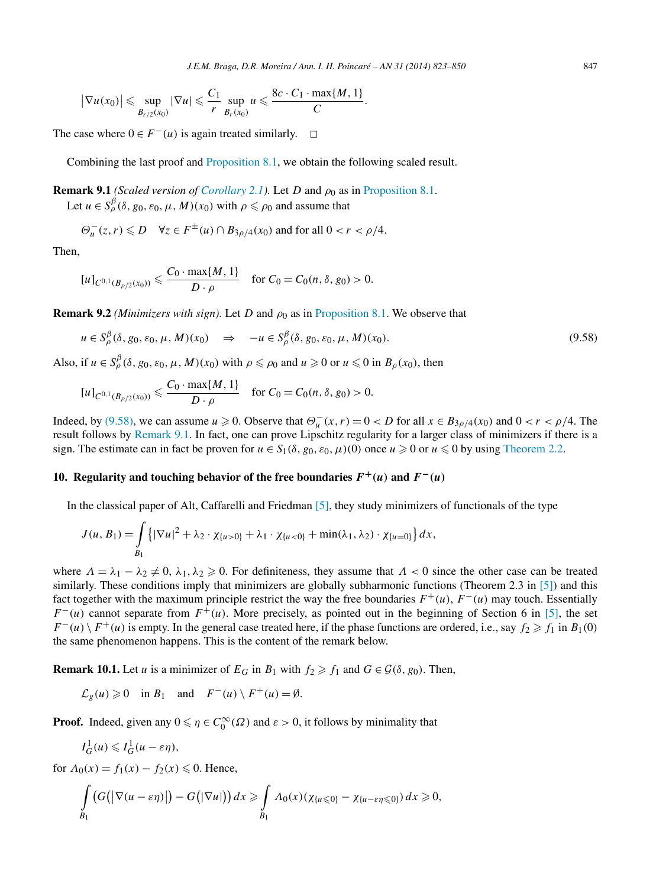<span id="page-24-0"></span>
$$
\left|\nabla u(x_0)\right| \leqslant \sup_{B_{r/2}(x_0)} \left|\nabla u\right| \leqslant \frac{C_1}{r} \sup_{B_r(x_0)} u \leqslant \frac{8c \cdot C_1 \cdot \max\{M, 1\}}{C}.
$$

The case where  $0 \in F^{-}(u)$  is again treated similarly.  $\square$ 

Combining the last proof and [Proposition](#page-22-0) 8.1, we obtain the following scaled result.

**Remark 9.1** *(Scaled version of [Corollary 2.1\)](#page-4-0).* Let *D* and  $\rho_0$  as in [Proposition 8.1.](#page-22-0) Let  $u \in S_\rho^\beta(\delta, g_0, \varepsilon_0, \mu, M)(x_0)$  with  $\rho \leq \rho_0$  and assume that

$$
\Theta^-_u(z,r) \leq D \quad \forall z \in F^{\pm}(u) \cap B_{3\rho/4}(x_0) \text{ and for all } 0 < r < \rho/4.
$$

Then,

$$
[u]_{C^{0,1}(B_{\rho/2}(x_0))} \leqslant \frac{C_0 \cdot \max\{M, 1\}}{D \cdot \rho} \quad \text{for } C_0 = C_0(n, \delta, g_0) > 0.
$$

**Remark 9.2** *(Minimizers with sign)*. Let *D* and  $\rho_0$  as in [Proposition 8.1.](#page-22-0) We observe that

$$
u \in S_{\rho}^{\beta}(\delta, g_0, \varepsilon_0, \mu, M)(x_0) \quad \Rightarrow \quad -u \in S_{\rho}^{\beta}(\delta, g_0, \varepsilon_0, \mu, M)(x_0). \tag{9.58}
$$

Also, if  $u \in S_\rho^\beta(\delta, g_0, \varepsilon_0, \mu, M)(x_0)$  with  $\rho \leq \rho_0$  and  $u \geq 0$  or  $u \leq 0$  in  $B_\rho(x_0)$ , then

$$
[u]_{C^{0,1}(B_{\rho/2}(x_0))} \leqslant \frac{C_0 \cdot \max\{M, 1\}}{D \cdot \rho} \quad \text{for } C_0 = C_0(n, \delta, g_0) > 0.
$$

Indeed, by (9.58), we can assume  $u \ge 0$ . Observe that  $\Theta_u^-(x, r) = 0 < D$  for all  $x \in B_{3\rho/4}(x_0)$  and  $0 < r < \rho/4$ . The result follows by Remark 9.1. In fact, one can prove Lipschitz regularity for a larger class of minimizers if there is a sign. The estimate can in fact be proven for  $u \in S_1(\delta, g_0, \varepsilon_0, \mu)(0)$  once  $u \ge 0$  or  $u \le 0$  by using [Theorem 2.2.](#page-5-0)

## **10. Regularity and touching behavior of the free boundaries**  $F^+(u)$  **and**  $F^-(u)$

In the classical paper of Alt, Caffarelli and Friedman [\[5\],](#page-27-0) they study minimizers of functionals of the type

$$
J(u, B_1) = \int_{B_1} \left\{ |\nabla u|^2 + \lambda_2 \cdot \chi_{\{u > 0\}} + \lambda_1 \cdot \chi_{\{u < 0\}} + \min(\lambda_1, \lambda_2) \cdot \chi_{\{u = 0\}} \right\} dx,
$$

where  $\Lambda = \lambda_1 - \lambda_2 \neq 0$ ,  $\lambda_1, \lambda_2 \geq 0$ . For definiteness, they assume that  $\Lambda < 0$  since the other case can be treated similarly. These conditions imply that minimizers are globally subharmonic functions (Theorem 2.3 in [\[5\]\)](#page-27-0) and this fact together with the maximum principle restrict the way the free boundaries  $F^+(u)$ ,  $F^-(u)$  may touch. Essentially  $F^{-}(u)$  cannot separate from  $F^{+}(u)$ . More precisely, as pointed out in the beginning of Section 6 in [\[5\],](#page-27-0) the set  $F^-(u) \setminus F^+(u)$  is empty. In the general case treated here, if the phase functions are ordered, i.e., say  $f_2 \geq f_1$  in  $B_1(0)$ the same phenomenon happens. This is the content of the remark below.

**Remark 10.1.** Let *u* is a minimizer of  $E_G$  in  $B_1$  with  $f_2 \geq f_1$  and  $G \in \mathcal{G}(\delta, g_0)$ . Then,

 $\mathcal{L}_g(u) \geq 0$  in  $B_1$  and  $F^-(u) \setminus F^+(u) = \emptyset$ .

**Proof.** Indeed, given any  $0 \le \eta \in C_0^{\infty}(\Omega)$  and  $\varepsilon > 0$ , it follows by minimality that

$$
I_G^1(u) \le I_G^1(u - \varepsilon \eta),
$$
  
if  $A_0(x) = f_1(x) = f_2(x) < 0$ . Hence

for  $\Lambda_0(x) = f_1(x) - f_2(x) \leq 0$ . Hence,

$$
\int_{B_1} \big( G(|\nabla(u-\varepsilon\eta)|\big) - G(|\nabla u|)\big) dx \geq \int_{B_1} \Lambda_0(x) (\chi_{\{u\leq 0\}} - \chi_{\{u-\varepsilon\eta\leq 0\}}) dx \geq 0,
$$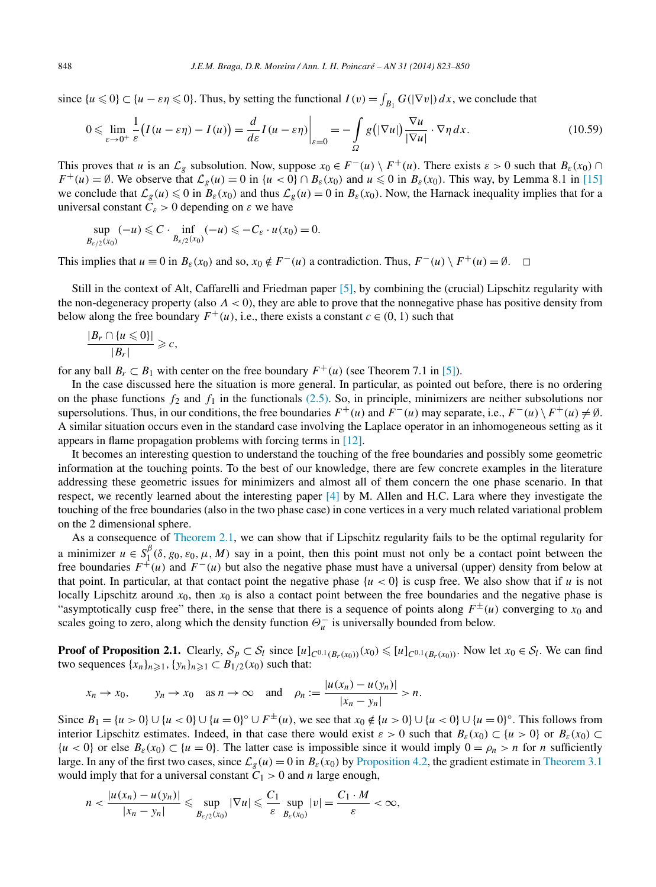since  $\{u \le 0\} \subset \{u - \varepsilon \eta \le 0\}$ . Thus, by setting the functional  $I(v) = \int_{B_1} G(|\nabla v|) dx$ , we conclude that

$$
0 \leqslant \lim_{\varepsilon \to 0^+} \frac{1}{\varepsilon} \big( I(u - \varepsilon \eta) - I(u) \big) = \frac{d}{d\varepsilon} I(u - \varepsilon \eta) \bigg|_{\varepsilon = 0} = - \int_{\Omega} g\big( |\nabla u| \big) \frac{\nabla u}{|\nabla u|} \cdot \nabla \eta \, dx. \tag{10.59}
$$

This proves that *u* is an  $\mathcal{L}_{g}$  subsolution. Now, suppose  $x_0 \in F^{-}(u) \setminus F^{+}(u)$ . There exists  $\varepsilon > 0$  such that  $B_{\varepsilon}(x_0) \cap$  $F^+(u) = \emptyset$ . We observe that  $\mathcal{L}_g(u) = 0$  in  $\{u < 0\} \cap B_\varepsilon(x_0)$  and  $u \le 0$  in  $B_\varepsilon(x_0)$ . This way, by Lemma 8.1 in [\[15\]](#page-27-0) we conclude that  $\mathcal{L}_g(u) \le 0$  in  $B_\varepsilon(x_0)$  and thus  $\mathcal{L}_g(u) = 0$  in  $B_\varepsilon(x_0)$ . Now, the Harnack inequality implies that for a universal constant  $C_{\varepsilon} > 0$  depending on  $\varepsilon$  we have

$$
\sup_{B_{\varepsilon/2}(x_0)} (-u) \leqslant C \cdot \inf_{B_{\varepsilon/2}(x_0)} (-u) \leqslant -C_{\varepsilon} \cdot u(x_0) = 0.
$$

This implies that  $u \equiv 0$  in  $B_{\varepsilon}(x_0)$  and so,  $x_0 \notin F^{-}(u)$  a contradiction. Thus,  $F^{-}(u) \setminus F^{+}(u) = \emptyset$ .  $\Box$ 

Still in the context of Alt, Caffarelli and Friedman paper [\[5\],](#page-27-0) by combining the (crucial) Lipschitz regularity with the non-degeneracy property (also *Λ <* 0), they are able to prove that the nonnegative phase has positive density from below along the free boundary  $F^+(u)$ , i.e., there exists a constant  $c \in (0, 1)$  such that

$$
\frac{|B_r \cap \{u \leq 0\}|}{|B_r|} \geqslant c,
$$

for any ball  $B_r \subset B_1$  with center on the free boundary  $F^+(\mu)$  (see Theorem 7.1 in [\[5\]\)](#page-27-0).

In the case discussed here the situation is more general. In particular, as pointed out before, there is no ordering on the phase functions  $f_2$  and  $f_1$  in the functionals [\(2.5\).](#page-3-0) So, in principle, minimizers are neither subsolutions nor supersolutions. Thus, in our conditions, the free boundaries  $F^+(u)$  and  $F^-(u)$  may separate, i.e.,  $F^-(u) \setminus F^+(u) \neq \emptyset$ . A similar situation occurs even in the standard case involving the Laplace operator in an inhomogeneous setting as it appears in flame propagation problems with forcing terms in [\[12\].](#page-27-0)

It becomes an interesting question to understand the touching of the free boundaries and possibly some geometric information at the touching points. To the best of our knowledge, there are few concrete examples in the literature addressing these geometric issues for minimizers and almost all of them concern the one phase scenario. In that respect, we recently learned about the interesting paper [\[4\]](#page-27-0) by M. Allen and H.C. Lara where they investigate the touching of the free boundaries (also in the two phase case) in cone vertices in a very much related variational problem on the 2 dimensional sphere.

As a consequence of [Theorem](#page-4-0) 2.1, we can show that if Lipschitz regularity fails to be the optimal regularity for a minimizer  $u \in S^{\beta}_{1}(\delta, g_0, \varepsilon_0, \mu, M)$  say in a point, then this point must not only be a contact point between the free boundaries  $F^+(u)$  and  $F^-(u)$  but also the negative phase must have a universal (upper) density from below at that point. In particular, at that contact point the negative phase  $\{u < 0\}$  is cusp free. We also show that if *u* is not locally Lipschitz around  $x_0$ , then  $x_0$  is also a contact point between the free boundaries and the negative phase is "asymptotically cusp free" there, in the sense that there is a sequence of points along  $F^{\pm}(u)$  converging to  $x_0$  and scales going to zero, along which the density function  $\Theta_u^-$  is universally bounded from below.

**Proof of Proposition 2.1.** Clearly,  $S_p \subset S_l$  since  $[u]_{C^{0,1}(B_r(x_0))}(x_0) \leq u|_{C^{0,1}(B_r(x_0))}$ . Now let  $x_0 \in S_l$ . We can find two sequences  ${x_n}_{n \ge 1}$ ,  ${y_n}_{n \ge 1}$  ⊂  $B_{1/2}(x_0)$  such that:

$$
x_n \to x_0
$$
,  $y_n \to x_0$  as  $n \to \infty$  and  $\rho_n := \frac{|u(x_n) - u(y_n)|}{|x_n - y_n|} > n$ .

Since  $B_1 = \{u > 0\} \cup \{u < 0\} \cup \{u = 0\}^\circ \cup F^\pm(u)$ , we see that  $x_0 \notin \{u > 0\} \cup \{u < 0\} \cup \{u = 0\}^\circ$ . This follows from interior Lipschitz estimates. Indeed, in that case there would exist  $\varepsilon > 0$  such that  $B_{\varepsilon}(x_0) \subset \{u > 0\}$  or  $B_{\varepsilon}(x_0) \subset$  $\{u < 0\}$  or else  $B_{\varepsilon}(x_0) \subset \{u = 0\}$ . The latter case is impossible since it would imply  $0 = \rho_n > n$  for *n* sufficiently large. In any of the first two cases, since  $\mathcal{L}_g(u) = 0$  in  $B_\varepsilon(x_0)$  by [Proposition 4.2,](#page-8-0) the gradient estimate in [Theorem 3.1](#page-6-0) would imply that for a universal constant  $C_1 > 0$  and *n* large enough,

$$
n < \frac{|u(x_n) - u(y_n)|}{|x_n - y_n|} \leqslant \sup_{B_{\varepsilon/2}(x_0)} |\nabla u| \leqslant \frac{C_1}{\varepsilon} \sup_{B_{\varepsilon}(x_0)} |v| = \frac{C_1 \cdot M}{\varepsilon} < \infty,
$$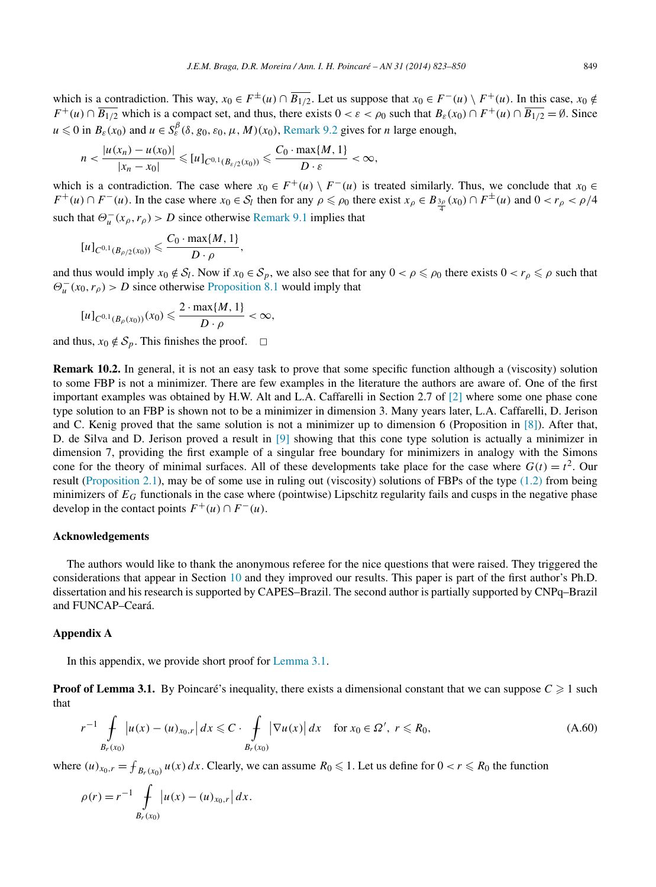<span id="page-26-0"></span>which is a contradiction. This way,  $x_0 \in F^{\pm}(u) \cap \overline{B_{1/2}}$ . Let us suppose that  $x_0 \in F^{\pm}(u) \setminus F^{\pm}(u)$ . In this case,  $x_0 \notin$ *F*<sup>+</sup>(*u*) ∩  $\overline{B_{1/2}}$  which is a compact set, and thus, there exists  $0 < \varepsilon < \rho_0$  such that  $B_{\varepsilon}(x_0) \cap F^+(u) \cap \overline{B_{1/2}} = \emptyset$ . Since  $u \le 0$  in  $B_\varepsilon(x_0)$  and  $u \in S_\varepsilon^\beta(\delta, g_0, \varepsilon_0, \mu, M)(x_0)$ , [Remark 9.2](#page-24-0) gives for *n* large enough,

$$
n < \frac{|u(x_n) - u(x_0)|}{|x_n - x_0|} \leqslant [u]_{C^{0,1}(B_{\varepsilon/2}(x_0))} \leqslant \frac{C_0 \cdot \max\{M, 1\}}{D \cdot \varepsilon} < \infty,
$$

which is a contradiction. The case where  $x_0 \in F^+(u) \setminus F^-(u)$  is treated similarly. Thus, we conclude that  $x_0 \in F^+(u)$  $F^+(u) \cap F^-(u)$ . In the case where  $x_0 \in S_l$  then for any  $\rho \le \rho_0$  there exist  $x_\rho \in B_{\frac{3\rho}{4}}(x_0) \cap F^{\pm}(u)$  and  $0 < r_\rho < \rho/4$ such that  $\Theta_u^-(x_\rho, r_\rho) > D$  since otherwise [Remark 9.1](#page-24-0) implies that

$$
[u]_{C^{0,1}(B_{\rho/2}(x_0))} \leqslant \frac{C_0 \cdot \max\{M, 1\}}{D \cdot \rho},
$$

and thus would imply  $x_0 \notin S_l$ . Now if  $x_0 \in S_p$ , we also see that for any  $0 < \rho \le \rho_0$  there exists  $0 < r_\rho \le \rho$  such that  $\Theta_u^-(x_0, r_\rho) > D$  since otherwise [Proposition 8.1](#page-22-0) would imply that

$$
[u]_{C^{0,1}(B_{\rho}(x_0))}(x_0)\leqslant \frac{2\cdot \max\{M,1\}}{D\cdot \rho}<\infty,
$$

and thus,  $x_0 \notin S_p$ . This finishes the proof.  $\Box$ 

**Remark 10.2.** In general, it is not an easy task to prove that some specific function although a (viscosity) solution to some FBP is not a minimizer. There are few examples in the literature the authors are aware of. One of the first important examples was obtained by H.W. Alt and L.A. Caffarelli in Section 2.7 of [\[2\]](#page-27-0) where some one phase cone type solution to an FBP is shown not to be a minimizer in dimension 3. Many years later, L.A. Caffarelli, D. Jerison and C. Kenig proved that the same solution is not a minimizer up to dimension 6 (Proposition in [\[8\]\)](#page-27-0). After that, D. de Silva and D. Jerison proved a result in [\[9\]](#page-27-0) showing that this cone type solution is actually a minimizer in dimension 7, providing the first example of a singular free boundary for minimizers in analogy with the Simons cone for the theory of minimal surfaces. All of these developments take place for the case where  $G(t) = t^2$ . Our result [\(Proposition 2.1\)](#page-5-0), may be of some use in ruling out (viscosity) solutions of FBPs of the type [\(1.2\)](#page-1-0) from being minimizers of  $E_G$  functionals in the case where (pointwise) Lipschitz regularity fails and cusps in the negative phase develop in the contact points  $F^+(u) \cap F^-(u)$ .

#### **Acknowledgements**

The authors would like to thank the anonymous referee for the nice questions that were raised. They triggered the considerations that appear in Section [10](#page-24-0) and they improved our results. This paper is part of the first author's Ph.D. dissertation and his research is supported by CAPES–Brazil. The second author is partially supported by CNPq–Brazil and FUNCAP–Ceará.

## **Appendix A**

In this appendix, we provide short proof for [Lemma](#page-6-0) 3.1.

**Proof of Lemma 3.1.** By Poincaré's inequality, there exists a dimensional constant that we can suppose  $C \geq 1$  such that

$$
r^{-1} \int\limits_{B_r(x_0)} |u(x) - (u)_{x_0,r}| dx \leq C \cdot \int\limits_{B_r(x_0)} |\nabla u(x)| dx \quad \text{for } x_0 \in \Omega', \ r \leq R_0,
$$
\n(A.60)

where  $(u)_{x_0,r} = \int_{B_r(x_0)} u(x) dx$ . Clearly, we can assume  $R_0 \le 1$ . Let us define for  $0 < r \le R_0$  the function

$$
\rho(r) = r^{-1} \int\limits_{B_r(x_0)} \left| u(x) - (u)_{x_0,r} \right| dx.
$$